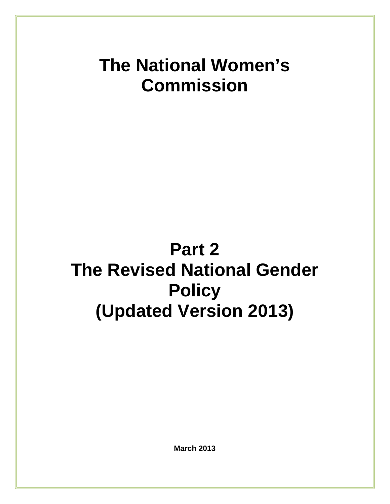# **The National Women's Commission**

# **Part 2 The Revised National Gender Policy (Updated Version 2013)**

**March 2013**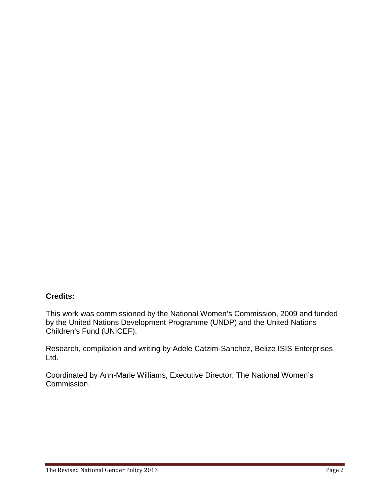# **Credits:**

This work was commissioned by the National Women's Commission, 2009 and funded by the United Nations Development Programme (UNDP) and the United Nations Children's Fund (UNICEF).

Research, compilation and writing by Adele Catzim-Sanchez, Belize ISIS Enterprises Ltd.

Coordinated by Ann-Marie Williams, Executive Director, The National Women's Commission.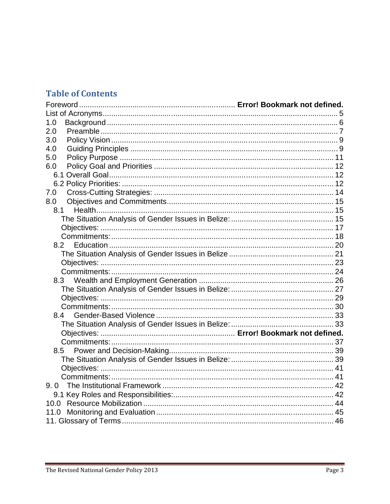# **Table of Contents**

| 1.0<br>2.0<br>3.0<br>4.0<br>5.0<br>6.0<br>7.0<br>8.0<br>8.1<br>8.2<br>8.3<br>8.4<br>8.5<br>10.0<br>11.0 |  |
|---------------------------------------------------------------------------------------------------------|--|
|                                                                                                         |  |
|                                                                                                         |  |
|                                                                                                         |  |
|                                                                                                         |  |
|                                                                                                         |  |
|                                                                                                         |  |
|                                                                                                         |  |
|                                                                                                         |  |
|                                                                                                         |  |
|                                                                                                         |  |
|                                                                                                         |  |
|                                                                                                         |  |
|                                                                                                         |  |
|                                                                                                         |  |
|                                                                                                         |  |
|                                                                                                         |  |
|                                                                                                         |  |
|                                                                                                         |  |
|                                                                                                         |  |
|                                                                                                         |  |
|                                                                                                         |  |
|                                                                                                         |  |
|                                                                                                         |  |
|                                                                                                         |  |
|                                                                                                         |  |
|                                                                                                         |  |
|                                                                                                         |  |
|                                                                                                         |  |
|                                                                                                         |  |
|                                                                                                         |  |
|                                                                                                         |  |
|                                                                                                         |  |
|                                                                                                         |  |
|                                                                                                         |  |
|                                                                                                         |  |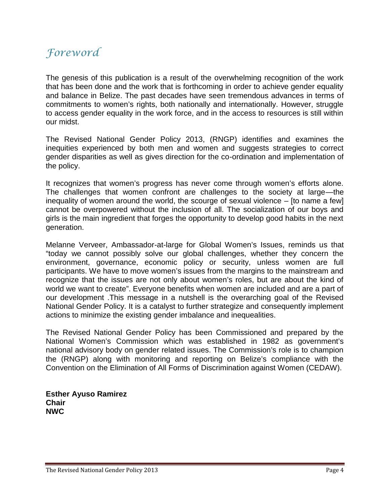# Foreword

The genesis of this publication is a result of the overwhelming recognition of the work that has been done and the work that is forthcoming in order to achieve gender equality and balance in Belize. The past decades have seen tremendous advances in terms of commitments to women's rights, both nationally and internationally. However, struggle to access gender equality in the work force, and in the access to resources is still within our midst.

The Revised National Gender Policy 2013, (RNGP) identifies and examines the inequities experienced by both men and women and suggests strategies to correct gender disparities as well as gives direction for the co-ordination and implementation of the policy.

It recognizes that women's progress has never come through women's efforts alone. The challenges that women confront are challenges to the society at large—the inequality of women around the world, the scourge of sexual violence – [to name a few] cannot be overpowered without the inclusion of all. The socialization of our boys and girls is the main ingredient that forges the opportunity to develop good habits in the next generation.

Melanne Verveer, Ambassador-at-large for Global Women's Issues, reminds us that "today we cannot possibly solve our global challenges, whether they concern the environment, governance, economic policy or security, unless women are full participants. We have to move women's issues from the margins to the mainstream and recognize that the issues are not only about women's roles, but are about the kind of world we want to create". Everyone benefits when women are included and are a part of our development .This message in a nutshell is the overarching goal of the Revised National Gender Policy. It is a catalyst to further strategize and consequently implement actions to minimize the existing gender imbalance and inequealities.

The Revised National Gender Policy has been Commissioned and prepared by the National Women's Commission which was established in 1982 as government's national advisory body on gender related issues. The Commission's role is to champion the (RNGP) along with monitoring and reporting on Belize's compliance with the Convention on the Elimination of All Forms of Discrimination against Women (CEDAW).

**Esther Ayuso Ramirez Chair NWC**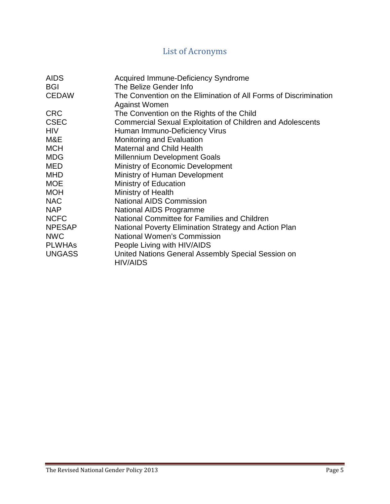# List of Acronyms

| <b>AIDS</b>   | <b>Acquired Immune-Deficiency Syndrome</b>                                               |
|---------------|------------------------------------------------------------------------------------------|
| <b>BGI</b>    | The Belize Gender Info                                                                   |
| <b>CEDAW</b>  | The Convention on the Elimination of All Forms of Discrimination<br><b>Against Women</b> |
| <b>CRC</b>    | The Convention on the Rights of the Child                                                |
| <b>CSEC</b>   | <b>Commercial Sexual Exploitation of Children and Adolescents</b>                        |
| <b>HIV</b>    | Human Immuno-Deficiency Virus                                                            |
| M&E           | Monitoring and Evaluation                                                                |
| <b>MCH</b>    | <b>Maternal and Child Health</b>                                                         |
| <b>MDG</b>    | <b>Millennium Development Goals</b>                                                      |
| <b>MED</b>    | Ministry of Economic Development                                                         |
| <b>MHD</b>    | Ministry of Human Development                                                            |
| <b>MOE</b>    | Ministry of Education                                                                    |
| <b>MOH</b>    | Ministry of Health                                                                       |
| <b>NAC</b>    | <b>National AIDS Commission</b>                                                          |
| <b>NAP</b>    | <b>National AIDS Programme</b>                                                           |
| <b>NCFC</b>   | National Committee for Families and Children                                             |
| <b>NPESAP</b> | National Poverty Elimination Strategy and Action Plan                                    |
| <b>NWC</b>    | <b>National Women's Commission</b>                                                       |
| <b>PLWHAS</b> | People Living with HIV/AIDS                                                              |
| <b>UNGASS</b> | United Nations General Assembly Special Session on<br><b>HIV/AIDS</b>                    |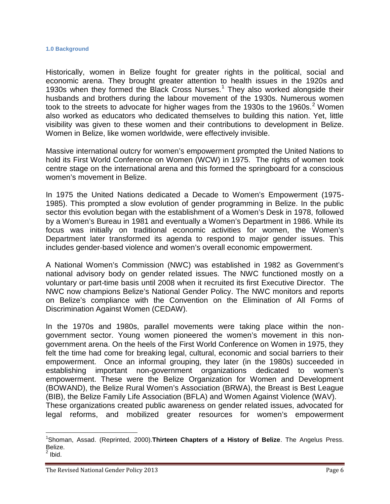#### **1.0 Background**

Historically, women in Belize fought for greater rights in the political, social and economic arena. They brought greater attention to health issues in the 1920s and 1930s when they formed the Black Cross Nurses.<sup>1</sup> They also worked alongside their husbands and brothers during the labour movement of the 1930s. Numerous women took to the streets to advocate for higher wages from the 1930s to the 1960s.<sup>2</sup> Women also worked as educators who dedicated themselves to building this nation. Yet, little visibility was given to these women and their contributions to development in Belize. Women in Belize, like women worldwide, were effectively invisible.

Massive international outcry for women's empowerment prompted the United Nations to hold its First World Conference on Women (WCW) in 1975. The rights of women took centre stage on the international arena and this formed the springboard for a conscious women's movement in Belize.

In 1975 the United Nations dedicated a Decade to Women's Empowerment (1975- 1985). This prompted a slow evolution of gender programming in Belize. In the public sector this evolution began with the establishment of a Women's Desk in 1978, followed by a Women's Bureau in 1981 and eventually a Women's Department in 1986. While its focus was initially on traditional economic activities for women, the Women's Department later transformed its agenda to respond to major gender issues. This includes gender-based violence and women's overall economic empowerment.

A National Women's Commission (NWC) was established in 1982 as Government's national advisory body on gender related issues. The NWC functioned mostly on a voluntary or part-time basis until 2008 when it recruited its first Executive Director. The NWC now champions Belize's National Gender Policy. The NWC monitors and reports on Belize's compliance with the Convention on the Elimination of All Forms of Discrimination Against Women (CEDAW).

In the 1970s and 1980s, parallel movements were taking place within the non government sector. Young women pioneered the women's movement in this non government arena. On the heels of the First World Conference on Women in 1975, they felt the time had come for breaking legal, cultural, economic and social barriers to their empowerment. Once an informal grouping, they later (in the 1980s) succeeded in establishing important non-government organizations dedicated to women's empowerment. These were the Belize Organization for Women and Development (BOWAND), the Belize Rural Women's Association (BRWA), the Breast is Best League (BIB), the Belize Family Life Association (BFLA) and Women Against Violence (WAV). These organizations created public awareness on gender related issues, advocated for

legal reforms, and mobilized greater resources for women's empowerment

<sup>1</sup>Shoman, Assad. (Reprinted, 2000).**Thirteen Chapters of a History of Belize**. The Angelus Press. Belize.

 $^2$  lbid.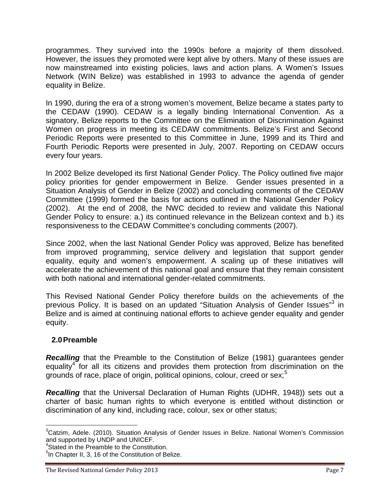programmes. They survived into the 1990s before a majority of them dissolved. However, the issues they promoted were kept alive by others. Many of these issues are now mainstreamed into existing policies, laws and action plans. A Women's Issues Network (WIN Belize) was established in 1993 to advance the agenda of gender equality in Belize.

In 1990, during the era of a strong women's movement, Belize became a states party to the CEDAW (1990). CEDAW is a legally binding International Convention. As a signatory, Belize reports to the Committee on the Elimination of Discrimination Against Women on progress in meeting its CEDAW commitments. Belize's First and Second Periodic Reports were presented to this Committee in June, 1999 and its Third and Fourth Periodic Reports were presented in July, 2007. Reporting on CEDAW occurs every four years.

In 2002 Belize developed its first National Gender Policy. The Policy outlined five major policy priorities for gender empowerment in Belize. Gender issues presented in a Situation Analysis of Gender in Belize (2002) and concluding comments of the CEDAW Committee (1999) formed the basis for actions outlined in the National Gender Policy (2002). At the end of 2008, the NWC decided to review and validate this National Gender Policy to ensure: a.) its continued relevance in the Belizean context and b.) its responsiveness to the CEDAW Committee's concluding comments (2007).

Since 2002, when the last National Gender Policy was approved, Belize has benefited from improved programming, service delivery and legislation that support gender equality, equity and women's empowerment. A scaling up of these initiatives will accelerate the achievement of this national goal and ensure that they remain consistent with both national and international gender-related commitments.

This Revised National Gender Policy therefore builds on the achievements of the previous Policy. It is based on an updated "Situation Analysis of Gender Issues"<sup>3</sup> in Belize and is aimed at continuing national efforts to achieve gender equality and gender equity.

# **2.0Preamble**

*Recalling* that the Preamble to the Constitution of Belize (1981) guarantees gender equality<sup>4</sup> for all its citizens and provides them protection from discrimination on the grounds of race, place of origin, political opinions, colour, creed or sex;<sup>5</sup>

*Recalling* that the Universal Declaration of Human Rights (UDHR, 1948)) sets out a charter of basic human rights to which everyone is entitled without distinction or discrimination of any kind, including race, colour, sex or other status;

<sup>&</sup>lt;sup>3</sup>Catzim, Adele. (2010). Situation Analysis of Gender Issues in Belize. National Women's Commission<br>and supported by UNDP and UNICEF.

 $4$ Stated in the Preamble to the Constitution.

<sup>&</sup>lt;sup>5</sup>In Chapter II, 3, 16 of the Constitution of Belize.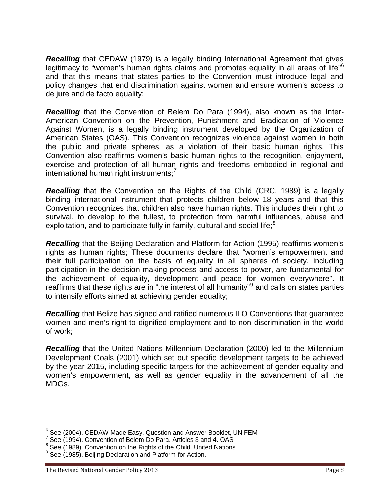**Recalling** that CEDAW (1979) is a legally binding International Agreement that gives legitimacy to "women's human rights claims and promotes equality in all areas of life"<sup>6</sup> and that this means that states parties to the Convention must introduce legal and policy changes that end discrimination against women and ensure women's access to de jure and de facto equality;

*Recalling* that the Convention of Belem Do Para (1994), also known as the Inter- American Convention on the Prevention, Punishment and Eradication of Violence Against Women, is a legally binding instrument developed by the Organization of American States (OAS). This Convention recognizes violence against women in both the public and private spheres, as a violation of their basic human rights. This Convention also reaffirms women's basic human rights to the recognition, enjoyment, exercise and protection of all human rights and freedoms embodied in regional and  $international human right instruments;$ 

*Recalling* that the Convention on the Rights of the Child (CRC, 1989) is a legally binding international instrument that protects children below 18 years and that this Convention recognizes that children also have human rights. This includes their right to survival, to develop to the fullest, to protection from harmful influences, abuse and exploitation, and to participate fully in family, cultural and social life; $<sup>8</sup>$ </sup>

*Recalling* that the Beijing Declaration and Platform for Action (1995) reaffirms women's rights as human rights; These documents declare that "women's empowerment and their full participation on the basis of equality in all spheres of society, including participation in the decision-making process and access to power, are fundamental for the achievement of equality, development and peace for women everywhere". It reaffirms that these rights are in "the interest of all humanity"<sup>9</sup> and calls on states parties to intensify efforts aimed at achieving gender equality;

*Recalling* that Belize has signed and ratified numerous ILO Conventions that guarantee women and men's right to dignified employment and to non-discrimination in the world of work;

*Recalling* that the United Nations Millennium Declaration (2000) led to the Millennium Development Goals (2001) which set out specific development targets to be achieved by the year 2015, including specific targets for the achievement of gender equality and women's empowerment, as well as gender equality in the advancement of all the MDGs.

<sup>6</sup> See (2004). CEDAW Made Easy. Question and Answer Booklet, UNIFEM

 $7$  See (1994). Convention of Belem Do Para. Articles 3 and 4. OAS

<sup>&</sup>lt;sup>8</sup> See (1989). Convention on the Rights of the Child. United Nations

 $9$  See (1985). Beijing Declaration and Platform for Action.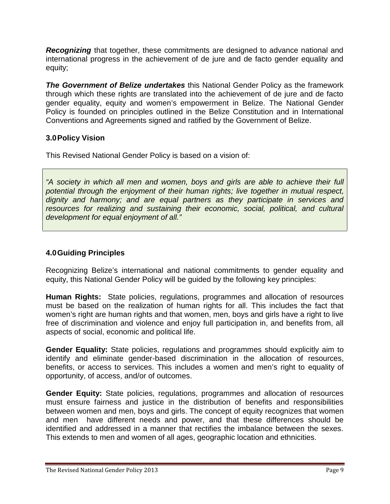*Recognizing* that together, these commitments are designed to advance national and international progress in the achievement of de jure and de facto gender equality and equity;

*The Government of Belize undertakes* this National Gender Policy as the framework through which these rights are translated into the achievement of de jure and de facto gender equality, equity and women's empowerment in Belize. The National Gender Policy is founded on principles outlined in the Belize Constitution and in International Conventions and Agreements signed and ratified by the Government of Belize.

# **3.0Policy Vision**

This Revised National Gender Policy is based on a vision of:

*"A society in which all men and women, boys and girls are able to achieve their full potential through the enjoyment of their human rights; live together in mutual respect, dignity and harmony; and are equal partners as they participate in services and resources for realizing and sustaining their economic, social, political, and cultural development for equal enjoyment of all."*

# **4.0Guiding Principles**

Recognizing Belize's international and national commitments to gender equality and equity, this National Gender Policy will be guided by the following key principles:

**Human Rights:** State policies, regulations, programmes and allocation of resources must be based on the realization of human rights for all. This includes the fact that women's right are human rights and that women, men, boys and girls have a right to live free of discrimination and violence and enjoy full participation in, and benefits from, all aspects of social, economic and political life.

**Gender Equality:** State policies, regulations and programmes should explicitly aim to identify and eliminate gender-based discrimination in the allocation of resources, benefits, or access to services. This includes a women and men's right to equality of opportunity, of access, and/or of outcomes.

**Gender Equity:** State policies, regulations, programmes and allocation of resources must ensure fairness and justice in the distribution of benefits and responsibilities between women and men, boys and girls. The concept of equity recognizes that women and men have different needs and power, and that these differences should be identified and addressed in a manner that rectifies the imbalance between the sexes. This extends to men and women of all ages, geographic location and ethnicities.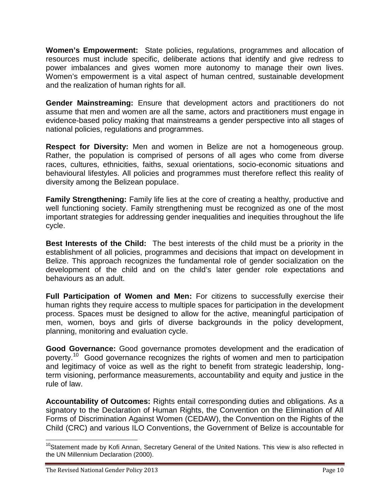**Women's Empowerment:** State policies, regulations, programmes and allocation of resources must include specific, deliberate actions that identify and give redress to power imbalances and gives women more autonomy to manage their own lives. Women's empowerment is a vital aspect of human centred, sustainable development and the realization of human rights for all.

**Gender Mainstreaming:** Ensure that development actors and practitioners do not assume that men and women are all the same, actors and practitioners must engage in evidence-based policy making that mainstreams a gender perspective into all stages of national policies, regulations and programmes.

**Respect for Diversity:** Men and women in Belize are not a homogeneous group. Rather, the population is comprised of persons of all ages who come from diverse races, cultures, ethnicities, faiths, sexual orientations, socio-economic situations and behavioural lifestyles. All policies and programmes must therefore reflect this reality of diversity among the Belizean populace.

**Family Strengthening:** Family life lies at the core of creating a healthy, productive and well functioning society. Family strengthening must be recognized as one of the most important strategies for addressing gender inequalities and inequities throughout the life cycle.

**Best Interests of the Child:** The best interests of the child must be a priority in the establishment of all policies, programmes and decisions that impact on development in Belize. This approach recognizes the fundamental role of gender socialization on the development of the child and on the child's later gender role expectations and behaviours as an adult.

**Full Participation of Women and Men:** For citizens to successfully exercise their human rights they require access to multiple spaces for participation in the development process. Spaces must be designed to allow for the active, meaningful participation of men, women, boys and girls of diverse backgrounds in the policy development, planning, monitoring and evaluation cycle.

**Good Governance:** Good governance promotes development and the eradication of poverty.<sup>10</sup> Good governance recognizes the rights of women and men to participation and legitimacy of voice as well as the right to benefit from strategic leadership, longterm visioning, performance measurements, accountability and equity and justice in the rule of law.

**Accountability of Outcomes:** Rights entail corresponding duties and obligations. As a signatory to the Declaration of Human Rights, the Convention on the Elimination of All Forms of Discrimination Against Women (CEDAW), the Convention on the Rights of the Child (CRC) and various ILO Conventions, the Government of Belize is accountable for

<sup>&</sup>lt;sup>10</sup>Statement made by Kofi Annan, Secretary General of the United Nations. This view is also reflected in the UN Millennium Declaration (2000).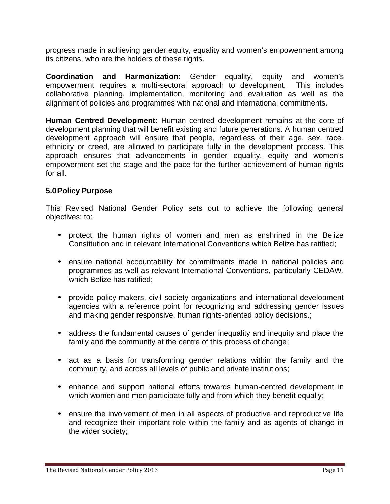progress made in achieving gender equity, equality and women's empowerment among its citizens, who are the holders of these rights.

**Coordination and Harmonization:** Gender equality, equity and women's empowerment requires a multi-sectoral approach to development. This includes collaborative planning, implementation, monitoring and evaluation as well as the alignment of policies and programmes with national and international commitments.

**Human Centred Development:** Human centred development remains at the core of development planning that will benefit existing and future generations. A human centred development approach will ensure that people, regardless of their age, sex, race, ethnicity or creed, are allowed to participate fully in the development process. This approach ensures that advancements in gender equality, equity and women's empowerment set the stage and the pace for the further achievement of human rights for all.

### **5.0Policy Purpose**

This Revised National Gender Policy sets out to achieve the following general objectives: to:

- protect the human rights of women and men as enshrined in the Belize Constitution and in relevant International Conventions which Belize has ratified;
- ensure national accountability for commitments made in national policies and programmes as well as relevant International Conventions, particularly CEDAW, which Belize has ratified;
- provide policy-makers, civil society organizations and international development agencies with a reference point for recognizing and addressing gender issues and making gender responsive, human rights-oriented policy decisions.;
- address the fundamental causes of gender inequality and inequity and place the family and the community at the centre of this process of change;
- act as a basis for transforming gender relations within the family and the community, and across all levels of public and private institutions;
- enhance and support national efforts towards human-centred development in which women and men participate fully and from which they benefit equally;
- ensure the involvement of men in all aspects of productive and reproductive life and recognize their important role within the family and as agents of change in the wider society;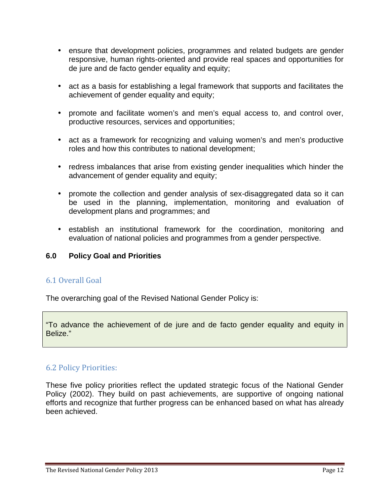- ensure that development policies, programmes and related budgets are gender responsive, human rights-oriented and provide real spaces and opportunities for de jure and de facto gender equality and equity;
- act as a basis for establishing a legal framework that supports and facilitates the achievement of gender equality and equity;
- promote and facilitate women's and men's equal access to, and control over, productive resources, services and opportunities;
- act as a framework for recognizing and valuing women's and men's productive roles and how this contributes to national development;
- redress imbalances that arise from existing gender inequalities which hinder the advancement of gender equality and equity;
- promote the collection and gender analysis of sex-disaggregated data so it can be used in the planning, implementation, monitoring and evaluation of development plans and programmes; and
- establish an institutional framework for the coordination, monitoring and evaluation of national policies and programmes from a gender perspective.

# **6.0 Policy Goal and Priorities**

# 6.1 Overall Goal

The overarching goal of the Revised National Gender Policy is:

"To advance the achievement of de jure and de facto gender equality and equity in Belize."

# 6.2 Policy Priorities:

These five policy priorities reflect the updated strategic focus of the National Gender Policy (2002). They build on past achievements, are supportive of ongoing national efforts and recognize that further progress can be enhanced based on what has already been achieved.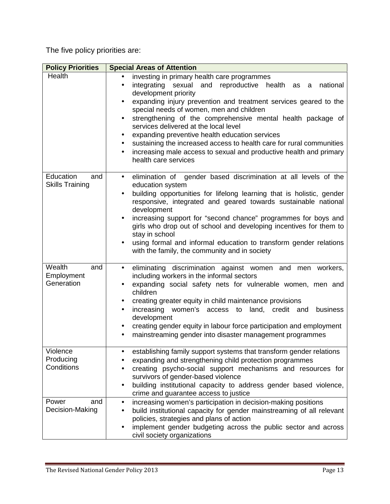The five policy priorities are:

| <b>Policy Priorities</b>                   | <b>Special Areas of Attention</b>                                                                                                                                                                                                                                                                                                                                                                                                                                                                                                                                                                                            |
|--------------------------------------------|------------------------------------------------------------------------------------------------------------------------------------------------------------------------------------------------------------------------------------------------------------------------------------------------------------------------------------------------------------------------------------------------------------------------------------------------------------------------------------------------------------------------------------------------------------------------------------------------------------------------------|
| Health                                     | investing in primary health care programmes<br>integrating<br>sexual and reproductive health as a<br>national<br>$\bullet$<br>development priority<br>expanding injury prevention and treatment services geared to the<br>special needs of women, men and children<br>strengthening of the comprehensive mental health package of<br>services delivered at the local level<br>expanding preventive health education services<br>$\bullet$<br>sustaining the increased access to health care for rural communities<br>increasing male access to sexual and productive health and primary<br>$\bullet$<br>health care services |
| Education<br>and<br><b>Skills Training</b> | elimination of gender based discrimination at all levels of the<br>$\bullet$<br>education system<br>building opportunities for lifelong learning that is holistic, gender<br>responsive, integrated and geared towards sustainable national<br>development<br>increasing support for "second chance" programmes for boys and<br>girls who drop out of school and developing incentives for them to<br>stay in school<br>using formal and informal education to transform gender relations<br>with the family, the community and in society                                                                                   |
| Wealth<br>and<br>Employment<br>Generation  | eliminating discrimination against women and men workers,<br>$\bullet$<br>including workers in the informal sectors<br>expanding social safety nets for vulnerable women, men and<br>children<br>creating greater equity in child maintenance provisions<br>increasing women's access to land, credit and<br>business<br>$\bullet$<br>development<br>creating gender equity in labour force participation and employment<br>$\bullet$<br>mainstreaming gender into disaster management programmes<br>$\bullet$                                                                                                               |
| Violence<br>Producing<br>Conditions        | establishing family support systems that transform gender relations<br>expanding and strengthening child protection programmes<br>creating psycho-social support mechanisms and resources for<br>survivors of gender-based violence<br>building institutional capacity to address gender based violence,<br>crime and guarantee access to justice                                                                                                                                                                                                                                                                            |
| Power<br>and<br>Decision-Making            | increasing women's participation in decision-making positions<br>$\bullet$<br>build institutional capacity for gender mainstreaming of all relevant<br>policies, strategies and plans of action<br>implement gender budgeting across the public sector and across<br>civil society organizations                                                                                                                                                                                                                                                                                                                             |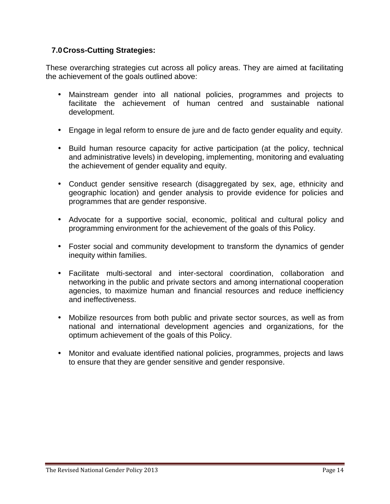# **7.0Cross-Cutting Strategies:**

These overarching strategies cut across all policy areas. They are aimed at facilitating the achievement of the goals outlined above:

- Mainstream gender into all national policies, programmes and projects to facilitate the achievement of human centred and sustainable national development.
- Engage in legal reform to ensure de jure and de facto gender equality and equity.
- Build human resource capacity for active participation (at the policy, technical and administrative levels) in developing, implementing, monitoring and evaluating the achievement of gender equality and equity.
- Conduct gender sensitive research (disaggregated by sex, age, ethnicity and geographic location) and gender analysis to provide evidence for policies and programmes that are gender responsive.
- Advocate for a supportive social, economic, political and cultural policy and programming environment for the achievement of the goals of this Policy.
- Foster social and community development to transform the dynamics of gender inequity within families.
- Facilitate multi-sectoral and inter-sectoral coordination, collaboration and networking in the public and private sectors and among international cooperation agencies, to maximize human and financial resources and reduce inefficiency and ineffectiveness.
- Mobilize resources from both public and private sector sources, as well as from national and international development agencies and organizations, for the optimum achievement of the goals of this Policy.
- Monitor and evaluate identified national policies, programmes, projects and laws to ensure that they are gender sensitive and gender responsive.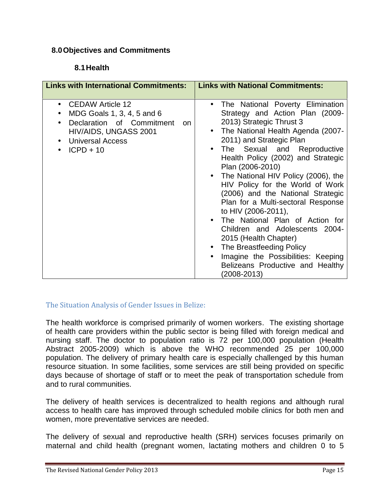# **8.0Objectives and Commitments**

# **8.1Health**

| <b>Links with International Commitments:</b>                                                                                                                      | <b>Links with National Commitments:</b>                                                                                                                                                                                                                                                                                                                                                                                                                                                                                                                                                                                                                       |
|-------------------------------------------------------------------------------------------------------------------------------------------------------------------|---------------------------------------------------------------------------------------------------------------------------------------------------------------------------------------------------------------------------------------------------------------------------------------------------------------------------------------------------------------------------------------------------------------------------------------------------------------------------------------------------------------------------------------------------------------------------------------------------------------------------------------------------------------|
| CEDAW Article 12<br>$\bullet$<br>MDG Goals 1, 3, 4, 5 and 6<br>Declaration of Commitment<br>on<br>HIV/AIDS, UNGASS 2001<br><b>Universal Access</b><br>$ICPD + 10$ | • The National Poverty Elimination<br>Strategy and Action Plan (2009-<br>2013) Strategic Thrust 3<br>The National Health Agenda (2007-<br>2011) and Strategic Plan<br>The Sexual and Reproductive<br>Health Policy (2002) and Strategic<br>Plan (2006-2010)<br>• The National HIV Policy (2006), the<br>HIV Policy for the World of Work<br>(2006) and the National Strategic<br>Plan for a Multi-sectoral Response<br>to HIV (2006-2011),<br>The National Plan of Action for<br>Children and Adolescents 2004-<br>2015 (Health Chapter)<br>The Breastfeeding Policy<br>Imagine the Possibilities: Keeping<br>Belizeans Productive and Healthy<br>(2008-2013) |

#### The Situation Analysis of Gender Issues in Belize:

The health workforce is comprised primarily of women workers. The existing shortage of health care providers within the public sector is being filled with foreign medical and nursing staff. The doctor to population ratio is 72 per 100,000 population (Health Abstract 2005-2009) which is above the WHO recommended 25 per 100,000 population. The delivery of primary health care is especially challenged by this human resource situation. In some facilities, some services are still being provided on specific days because of shortage of staff or to meet the peak of transportation schedule from and to rural communities.

The delivery of health services is decentralized to health regions and although rural access to health care has improved through scheduled mobile clinics for both men and women, more preventative services are needed.

The delivery of sexual and reproductive health (SRH) services focuses primarily on maternal and child health (pregnant women, lactating mothers and children 0 to 5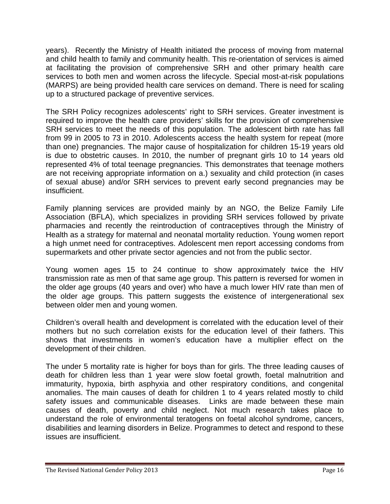years). Recently the Ministry of Health initiated the process of moving from maternal and child health to family and community health. This re-orientation of services is aimed at facilitating the provision of comprehensive SRH and other primary health care services to both men and women across the lifecycle. Special most-at-risk populations (MARPS) are being provided health care services on demand. There is need for scaling up to a structured package of preventive services.

The SRH Policy recognizes adolescents' right to SRH services. Greater investment is required to improve the health care providers' skills for the provision of comprehensive SRH services to meet the needs of this population. The adolescent birth rate has fall from 99 in 2005 to 73 in 2010. Adolescents access the health system for repeat (more than one) pregnancies. The major cause of hospitalization for children 15-19 years old is due to obstetric causes. In 2010, the number of pregnant girls 10 to 14 years old represented 4% of total teenage pregnancies. This demonstrates that teenage mothers are not receiving appropriate information on a.) sexuality and child protection (in cases of sexual abuse) and/or SRH services to prevent early second pregnancies may be insufficient.

Family planning services are provided mainly by an NGO, the Belize Family Life Association (BFLA), which specializes in providing SRH services followed by private pharmacies and recently the reintroduction of contraceptives through the Ministry of Health as a strategy for maternal and neonatal mortality reduction. Young women report a high unmet need for contraceptives. Adolescent men report accessing condoms from supermarkets and other private sector agencies and not from the public sector.

Young women ages 15 to 24 continue to show approximately twice the HIV transmission rate as men of that same age group. This pattern is reversed for women in the older age groups (40 years and over) who have a much lower HIV rate than men of the older age groups. This pattern suggests the existence of intergenerational sex between older men and young women.

Children's overall health and development is correlated with the education level of their mothers but no such correlation exists for the education level of their fathers. This shows that investments in women's education have a multiplier effect on the development of their children.

The under 5 mortality rate is higher for boys than for girls. The three leading causes of death for children less than 1 year were slow foetal growth, foetal malnutrition and immaturity, hypoxia, birth asphyxia and other respiratory conditions, and congenital anomalies. The main causes of death for children 1 to 4 years related mostly to child safety issues and communicable diseases. Links are made between these main causes of death, poverty and child neglect. Not much research takes place to understand the role of environmental teratogens on foetal alcohol syndrome, cancers, disabilities and learning disorders in Belize. Programmes to detect and respond to these issues are insufficient.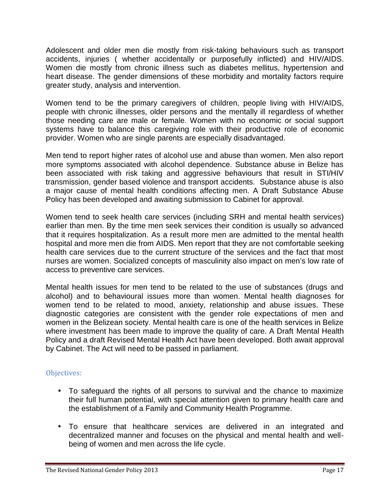Adolescent and older men die mostly from risk-taking behaviours such as transport accidents, injuries ( whether accidentally or purposefully inflicted) and HIV/AIDS. Women die mostly from chronic illness such as diabetes mellitus, hypertension and heart disease. The gender dimensions of these morbidity and mortality factors require greater study, analysis and intervention.

Women tend to be the primary caregivers of children, people living with HIV/AIDS, people with chronic illnesses, older persons and the mentally ill regardless of whether those needing care are male or female. Women with no economic or social support systems have to balance this caregiving role with their productive role of economic provider. Women who are single parents are especially disadvantaged.

Men tend to report higher rates of alcohol use and abuse than women. Men also report more symptoms associated with alcohol dependence. Substance abuse in Belize has been associated with risk taking and aggressive behaviours that result in STI/HIV transmission, gender based violence and transport accidents. Substance abuse is also a major cause of mental health conditions affecting men. A Draft Substance Abuse Policy has been developed and awaiting submission to Cabinet for approval.

Women tend to seek health care services (including SRH and mental health services) earlier than men. By the time men seek services their condition is usually so advanced that it requires hospitalization. As a result more men are admitted to the mental health hospital and more men die from AIDS. Men report that they are not comfortable seeking health care services due to the current structure of the services and the fact that most nurses are women. Socialized concepts of masculinity also impact on men's low rate of access to preventive care services.

Mental health issues for men tend to be related to the use of substances (drugs and alcohol) and to behavioural issues more than women. Mental health diagnoses for women tend to be related to mood, anxiety, relationship and abuse issues. These diagnostic categories are consistent with the gender role expectations of men and women in the Belizean society. Mental health care is one of the health services in Belize where investment has been made to improve the quality of care. A Draft Mental Health Policy and a draft Revised Mental Health Act have been developed. Both await approval by Cabinet. The Act will need to be passed in parliament.

# Objectives:

- To safeguard the rights of all persons to survival and the chance to maximize their full human potential, with special attention given to primary health care and the establishment of a Family and Community Health Programme.
- To ensure that healthcare services are delivered in an integrated and decentralized manner and focuses on the physical and mental health and well being of women and men across the life cycle.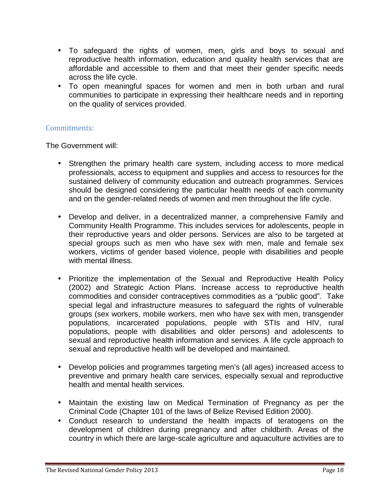- To safeguard the rights of women, men, girls and boys to sexual and reproductive health information, education and quality health services that are affordable and accessible to them and that meet their gender specific needs across the life cycle.
- To open meaningful spaces for women and men in both urban and rural communities to participate in expressing their healthcare needs and in reporting on the quality of services provided.

### Commitments:

The Government will:

- Strengthen the primary health care system, including access to more medical professionals, access to equipment and supplies and access to resources for the sustained delivery of community education and outreach programmes. Services should be designed considering the particular health needs of each community and on the gender-related needs of women and men throughout the life cycle.
- Develop and deliver, in a decentralized manner, a comprehensive Family and Community Health Programme. This includes services for adolescents, people in their reproductive years and older persons. Services are also to be targeted at special groups such as men who have sex with men, male and female sex workers, victims of gender based violence, people with disabilities and people with mental illness.
- Prioritize the implementation of the Sexual and Reproductive Health Policy (2002) and Strategic Action Plans. Increase access to reproductive health commodities and consider contraceptives commodities as a "public good". Take special legal and infrastructure measures to safeguard the rights of vulnerable groups (sex workers, mobile workers, men who have sex with men, transgender populations, incarcerated populations, people with STIs and HIV, rural populations, people with disabilities and older persons) and adolescents to sexual and reproductive health information and services. A life cycle approach to sexual and reproductive health will be developed and maintained.
- Develop policies and programmes targeting men's (all ages) increased access to preventive and primary health care services, especially sexual and reproductive health and mental health services.
- Maintain the existing law on Medical Termination of Pregnancy as per the Criminal Code (Chapter 101 of the laws of Belize Revised Edition 2000).
- Conduct research to understand the health impacts of teratogens on the development of children during pregnancy and after childbirth. Areas of the country in which there are large-scale agriculture and aquaculture activities are to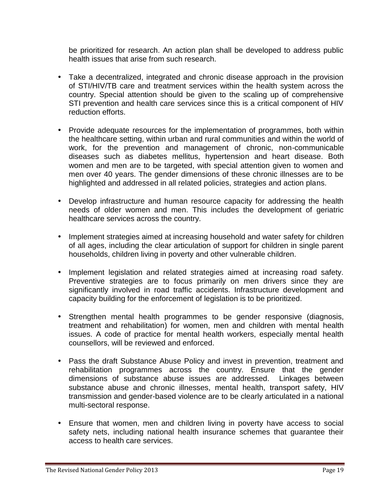be prioritized for research. An action plan shall be developed to address public health issues that arise from such research.

- Take a decentralized, integrated and chronic disease approach in the provision of STI/HIV/TB care and treatment services within the health system across the country. Special attention should be given to the scaling up of comprehensive STI prevention and health care services since this is a critical component of HIV reduction efforts.
- Provide adequate resources for the implementation of programmes, both within the healthcare setting, within urban and rural communities and within the world of work, for the prevention and management of chronic, non-communicable diseases such as diabetes mellitus, hypertension and heart disease. Both women and men are to be targeted, with special attention given to women and men over 40 years. The gender dimensions of these chronic illnesses are to be highlighted and addressed in all related policies, strategies and action plans.
- Develop infrastructure and human resource capacity for addressing the health needs of older women and men. This includes the development of geriatric healthcare services across the country.
- Implement strategies aimed at increasing household and water safety for children of all ages, including the clear articulation of support for children in single parent households, children living in poverty and other vulnerable children.
- Implement legislation and related strategies aimed at increasing road safety. Preventive strategies are to focus primarily on men drivers since they are significantly involved in road traffic accidents. Infrastructure development and capacity building for the enforcement of legislation is to be prioritized.
- Strengthen mental health programmes to be gender responsive (diagnosis, treatment and rehabilitation) for women, men and children with mental health issues. A code of practice for mental health workers, especially mental health counsellors, will be reviewed and enforced.
- Pass the draft Substance Abuse Policy and invest in prevention, treatment and rehabilitation programmes across the country. Ensure that the gender dimensions of substance abuse issues are addressed. Linkages between substance abuse and chronic illnesses, mental health, transport safety, HIV transmission and gender-based violence are to be clearly articulated in a national multi-sectoral response.
- Ensure that women, men and children living in poverty have access to social safety nets, including national health insurance schemes that guarantee their access to health care services.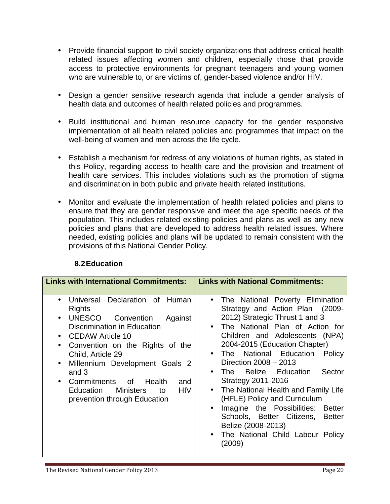- Provide financial support to civil society organizations that address critical health related issues affecting women and children, especially those that provide access to protective environments for pregnant teenagers and young women who are vulnerable to, or are victims of, gender-based violence and/or HIV.
- Design a gender sensitive research agenda that include a gender analysis of health data and outcomes of health related policies and programmes.
- Build institutional and human resource capacity for the gender responsive implementation of all health related policies and programmes that impact on the well-being of women and men across the life cycle.
- Establish a mechanism for redress of any violations of human rights, as stated in this Policy, regarding access to health care and the provision and treatment of health care services. This includes violations such as the promotion of stigma and discrimination in both public and private health related institutions.
- Monitor and evaluate the implementation of health related policies and plans to ensure that they are gender responsive and meet the age specific needs of the population. This includes related existing policies and plans as well as any new policies and plans that are developed to address health related issues. Where needed, existing policies and plans will be updated to remain consistent with the provisions of this National Gender Policy.

| <b>Links with International Commitments:</b>                                                                                                                                                                                                                                                                                                                                                  | <b>Links with National Commitments:</b>                                                                                                                                                                                                                                                                                                                                                                                                                                                                                                                                                     |
|-----------------------------------------------------------------------------------------------------------------------------------------------------------------------------------------------------------------------------------------------------------------------------------------------------------------------------------------------------------------------------------------------|---------------------------------------------------------------------------------------------------------------------------------------------------------------------------------------------------------------------------------------------------------------------------------------------------------------------------------------------------------------------------------------------------------------------------------------------------------------------------------------------------------------------------------------------------------------------------------------------|
| Universal Declaration of Human<br><b>Rights</b><br>UNESCO Convention<br>Against<br>$\bullet$<br>Discrimination in Education<br><b>CEDAW Article 10</b><br>Convention on the Rights of the<br>Child, Article 29<br>Millennium Development Goals 2<br>$\bullet$<br>and $3$<br>Commitments of Health<br>and<br><b>HIV</b><br><b>Ministers</b><br>Education<br>to<br>prevention through Education | The National Poverty Elimination<br>$\bullet$<br>Strategy and Action Plan (2009-<br>2012) Strategic Thrust 1 and 3<br>The National Plan of Action for<br>Children and Adolescents (NPA)<br>2004-2015 (Education Chapter)<br>The National Education<br>Policy<br>Direction 2008 - 2013<br><b>Belize</b> Education<br>Sector<br>The<br>Strategy 2011-2016<br>The National Health and Family Life<br>$\bullet$<br>(HFLE) Policy and Curriculum<br>Imagine the Possibilities:<br>Better<br>Schools, Better Citizens, Better<br>Belize (2008-2013)<br>The National Child Labour Policy<br>(2009) |

# **8.2Education**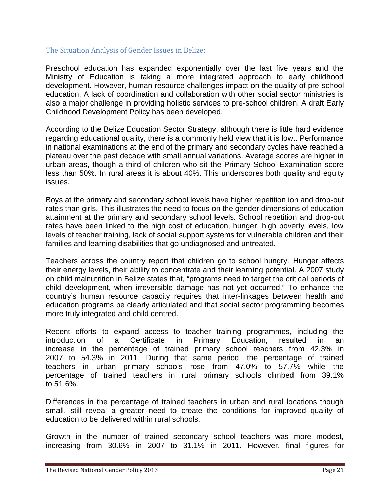#### The Situation Analysis of Gender Issues in Belize:

Preschool education has expanded exponentially over the last five years and the Ministry of Education is taking a more integrated approach to early childhood development. However, human resource challenges impact on the quality of pre-school education. A lack of coordination and collaboration with other social sector ministries is also a major challenge in providing holistic services to pre-school children. A draft Early Childhood Development Policy has been developed.

According to the Belize Education Sector Strategy, although there is little hard evidence regarding educational quality, there is a commonly held view that it is low.. Performance in national examinations at the end of the primary and secondary cycles have reached a plateau over the past decade with small annual variations. Average scores are higher in urban areas, though a third of children who sit the Primary School Examination score less than 50%. In rural areas it is about 40%. This underscores both quality and equity issues.

Boys at the primary and secondary school levels have higher repetition ion and drop-out rates than girls. This illustrates the need to focus on the gender dimensions of education attainment at the primary and secondary school levels. School repetition and drop-out rates have been linked to the high cost of education, hunger, high poverty levels, low levels of teacher training, lack of social support systems for vulnerable children and their families and learning disabilities that go undiagnosed and untreated.

Teachers across the country report that children go to school hungry. Hunger affects their energy levels, their ability to concentrate and their learning potential. A 2007 study on child malnutrition in Belize states that, "programs need to target the critical periods of child development, when irreversible damage has not yet occurred." To enhance the country's human resource capacity requires that inter-linkages between health and education programs be clearly articulated and that social sector programming becomes more truly integrated and child centred.

Recent efforts to expand access to teacher training programmes, including the introduction of a Certificate in Primary Education, resulted in an increase in the percentage of trained primary school teachers from 42.3% in 2007 to 54.3% in 2011. During that same period, the percentage of trained teachers in urban primary schools rose from 47.0% to 57.7% while the percentage of trained teachers in rural primary schools climbed from 39.1% to 51.6%.

Differences in the percentage of trained teachers in urban and rural locations though small, still reveal a greater need to create the conditions for improved quality of education to be delivered within rural schools.

Growth in the number of trained secondary school teachers was more modest, increasing from 30.6% in 2007 to 31.1% in 2011. However, final figures for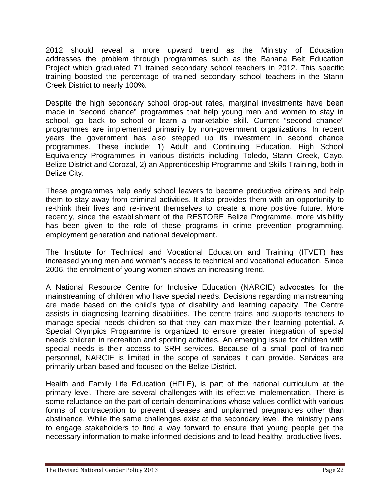2012 should reveal a more upward trend as the Ministry of Education addresses the problem through programmes such as the Banana Belt Education Project which graduated 71 trained secondary school teachers in 2012. This specific training boosted the percentage of trained secondary school teachers in the Stann Creek District to nearly 100%.

Despite the high secondary school drop-out rates, marginal investments have been made in "second chance" programmes that help young men and women to stay in school, go back to school or learn a marketable skill. Current "second chance" programmes are implemented primarily by non-government organizations. In recent years the government has also stepped up its investment in second chance programmes. These include: 1) Adult and Continuing Education, High School Equivalency Programmes in various districts including Toledo, Stann Creek, Cayo, Belize District and Corozal, 2) an Apprenticeship Programme and Skills Training, both in Belize City.

These programmes help early school leavers to become productive citizens and help them to stay away from criminal activities. It also provides them with an opportunity to re-think their lives and re-invent themselves to create a more positive future. More recently, since the establishment of the RESTORE Belize Programme, more visibility has been given to the role of these programs in crime prevention programming, employment generation and national development.

The Institute for Technical and Vocational Education and Training (ITVET) has increased young men and women's access to technical and vocational education. Since 2006, the enrolment of young women shows an increasing trend.

A National Resource Centre for Inclusive Education (NARCIE) advocates for the mainstreaming of children who have special needs. Decisions regarding mainstreaming are made based on the child's type of disability and learning capacity. The Centre assists in diagnosing learning disabilities. The centre trains and supports teachers to manage special needs children so that they can maximize their learning potential. A Special Olympics Programme is organized to ensure greater integration of special needs children in recreation and sporting activities. An emerging issue for children with special needs is their access to SRH services. Because of a small pool of trained personnel, NARCIE is limited in the scope of services it can provide. Services are primarily urban based and focused on the Belize District.

Health and Family Life Education (HFLE), is part of the national curriculum at the primary level. There are several challenges with its effective implementation. There is some reluctance on the part of certain denominations whose values conflict with various forms of contraception to prevent diseases and unplanned pregnancies other than abstinence. While the same challenges exist at the secondary level, the ministry plans to engage stakeholders to find a way forward to ensure that young people get the necessary information to make informed decisions and to lead healthy, productive lives.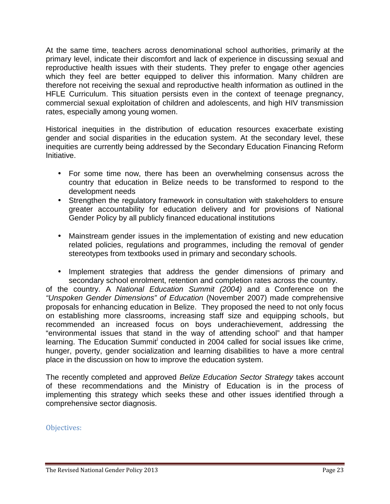At the same time, teachers across denominational school authorities, primarily at the primary level, indicate their discomfort and lack of experience in discussing sexual and reproductive health issues with their students. They prefer to engage other agencies which they feel are better equipped to deliver this information. Many children are therefore not receiving the sexual and reproductive health information as outlined in the HFLE Curriculum. This situation persists even in the context of teenage pregnancy, commercial sexual exploitation of children and adolescents, and high HIV transmission rates, especially among young women.

Historical inequities in the distribution of education resources exacerbate existing gender and social disparities in the education system. At the secondary level, these inequities are currently being addressed by the Secondary Education Financing Reform Initiative.

- For some time now, there has been an overwhelming consensus across the country that education in Belize needs to be transformed to respond to the development needs
- Strengthen the regulatory framework in consultation with stakeholders to ensure greater accountability for education delivery and for provisions of National Gender Policy by all publicly financed educational institutions
- Mainstream gender issues in the implementation of existing and new education related policies, regulations and programmes, including the removal of gender stereotypes from textbooks used in primary and secondary schools.
- Implement strategies that address the gender dimensions of primary and secondary school enrolment, retention and completion rates across the country.

of the country. A *National Education Summit (2004)* and a Conference on the *"Unspoken Gender Dimensions" of Education* (November 2007) made comprehensive proposals for enhancing education in Belize. They proposed the need to not only focus on establishing more classrooms, increasing staff size and equipping schools, but recommended an increased focus on boys underachievement, addressing the "environmental issues that stand in the way of attending school" and that hamper learning. The Education Summit<sup>i</sup> conducted in 2004 called for social issues like crime, hunger, poverty, gender socialization and learning disabilities to have a more central place in the discussion on how to improve the education system.

The recently completed and approved *Belize Education Sector Strategy* takes account of these recommendations and the Ministry of Education is in the process of implementing this strategy which seeks these and other issues identified through a comprehensive sector diagnosis.

Objectives: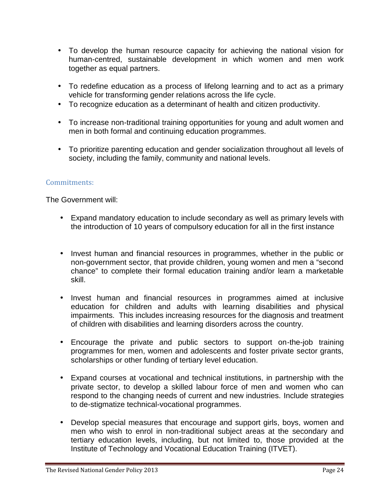- To develop the human resource capacity for achieving the national vision for human-centred, sustainable development in which women and men work together as equal partners.
- To redefine education as a process of lifelong learning and to act as a primary vehicle for transforming gender relations across the life cycle.
- To recognize education as a determinant of health and citizen productivity.
- To increase non-traditional training opportunities for young and adult women and men in both formal and continuing education programmes.
- To prioritize parenting education and gender socialization throughout all levels of society, including the family, community and national levels.

### Commitments:

The Government will:

- Expand mandatory education to include secondary as well as primary levels with the introduction of 10 years of compulsory education for all in the first instance
- Invest human and financial resources in programmes, whether in the public or non-government sector, that provide children, young women and men a "second chance" to complete their formal education training and/or learn a marketable skill.
- Invest human and financial resources in programmes aimed at inclusive education for children and adults with learning disabilities and physical impairments. This includes increasing resources for the diagnosis and treatment of children with disabilities and learning disorders across the country.
- Encourage the private and public sectors to support on-the-job training programmes for men, women and adolescents and foster private sector grants, scholarships or other funding of tertiary level education.
- Expand courses at vocational and technical institutions, in partnership with the private sector, to develop a skilled labour force of men and women who can respond to the changing needs of current and new industries. Include strategies to de-stigmatize technical-vocational programmes.
- Develop special measures that encourage and support girls, boys, women and men who wish to enrol in non-traditional subject areas at the secondary and tertiary education levels, including, but not limited to, those provided at the Institute of Technology and Vocational Education Training (ITVET).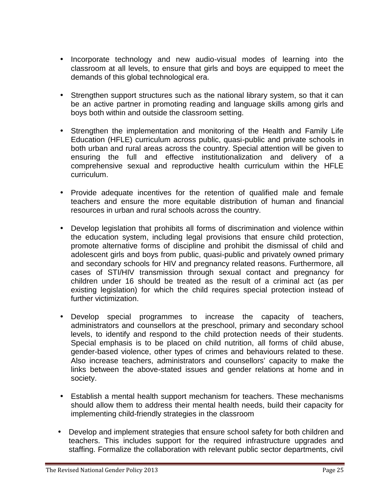- Incorporate technology and new audio-visual modes of learning into the classroom at all levels, to ensure that girls and boys are equipped to meet the demands of this global technological era.
- Strengthen support structures such as the national library system, so that it can be an active partner in promoting reading and language skills among girls and boys both within and outside the classroom setting.
- Strengthen the implementation and monitoring of the Health and Family Life Education (HFLE) curriculum across public, quasi-public and private schools in both urban and rural areas across the country. Special attention will be given to ensuring the full and effective institutionalization and delivery of a comprehensive sexual and reproductive health curriculum within the HFLE curriculum.
- Provide adequate incentives for the retention of qualified male and female teachers and ensure the more equitable distribution of human and financial resources in urban and rural schools across the country.
- Develop legislation that prohibits all forms of discrimination and violence within the education system, including legal provisions that ensure child protection, promote alternative forms of discipline and prohibit the dismissal of child and adolescent girls and boys from public, quasi-public and privately owned primary and secondary schools for HIV and pregnancy related reasons. Furthermore, all cases of STI/HIV transmission through sexual contact and pregnancy for children under 16 should be treated as the result of a criminal act (as per existing legislation) for which the child requires special protection instead of further victimization.
- Develop special programmes to increase the capacity of teachers, administrators and counsellors at the preschool, primary and secondary school levels, to identify and respond to the child protection needs of their students. Special emphasis is to be placed on child nutrition, all forms of child abuse, gender-based violence, other types of crimes and behaviours related to these. Also increase teachers, administrators and counsellors' capacity to make the links between the above-stated issues and gender relations at home and in society.
- Establish a mental health support mechanism for teachers. These mechanisms should allow them to address their mental health needs, build their capacity for implementing child-friendly strategies in the classroom
- Develop and implement strategies that ensure school safety for both children and teachers. This includes support for the required infrastructure upgrades and staffing. Formalize the collaboration with relevant public sector departments, civil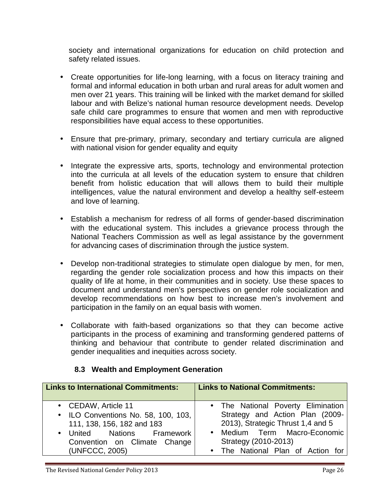society and international organizations for education on child protection and safety related issues.

- Create opportunities for life-long learning, with a focus on literacy training and formal and informal education in both urban and rural areas for adult women and men over 21 years. This training will be linked with the market demand for skilled labour and with Belize's national human resource development needs. Develop safe child care programmes to ensure that women and men with reproductive responsibilities have equal access to these opportunities.
- Ensure that pre-primary, primary, secondary and tertiary curricula are aligned with national vision for gender equality and equity
- Integrate the expressive arts, sports, technology and environmental protection into the curricula at all levels of the education system to ensure that children benefit from holistic education that will allows them to build their multiple intelligences, value the natural environment and develop a healthy self-esteem and love of learning.
- Establish a mechanism for redress of all forms of gender-based discrimination with the educational system. This includes a grievance process through the National Teachers Commission as well as legal assistance by the government for advancing cases of discrimination through the justice system.
- Develop non-traditional strategies to stimulate open dialogue by men, for men, regarding the gender role socialization process and how this impacts on their quality of life at home, in their communities and in society. Use these spaces to document and understand men's perspectives on gender role socialization and develop recommendations on how best to increase men's involvement and participation in the family on an equal basis with women.
- Collaborate with faith-based organizations so that they can become active participants in the process of examining and transforming gendered patterns of thinking and behaviour that contribute to gender related discrimination and gender inequalities and inequities across society.

| <b>Links to International Commitments:</b>                                                                                                                               | <b>Links to National Commitments:</b>                                                                                                                                                                            |
|--------------------------------------------------------------------------------------------------------------------------------------------------------------------------|------------------------------------------------------------------------------------------------------------------------------------------------------------------------------------------------------------------|
| • CEDAW, Article 11<br>• ILO Conventions No. 58, 100, 103,<br>111, 138, 156, 182 and 183<br>• United Nations Framework<br>Convention on Climate Change<br>(UNFCCC, 2005) | • The National Poverty Elimination<br>Strategy and Action Plan (2009-<br>2013), Strategic Thrust 1,4 and 5<br>Medium Term Macro-Economic<br>$\bullet$<br>Strategy (2010-2013)<br>The National Plan of Action for |

# **8.3 Wealth and Employment Generation**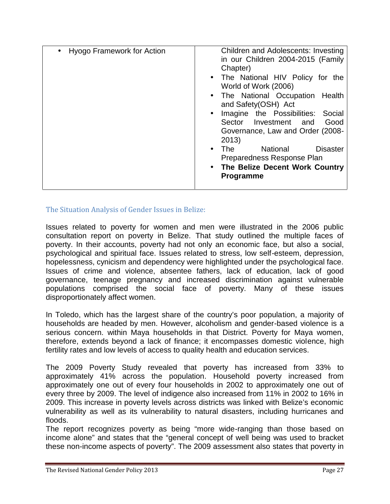| <b>Disaster</b><br><b>National</b><br>The<br>$\bullet$<br>Preparedness Response Plan<br>The Belize Decent Work Country<br>$\bullet$<br>Programme | in our Children 2004-2015 (Family<br>Chapter)<br>• The National HIV Policy for the<br>World of Work (2006)<br>• The National Occupation Health<br>and Safety(OSH) Act<br>Imagine the Possibilities:<br>Social<br>$\bullet$<br>Sector Investment and<br>Good<br>Governance, Law and Order (2008- |
|--------------------------------------------------------------------------------------------------------------------------------------------------|-------------------------------------------------------------------------------------------------------------------------------------------------------------------------------------------------------------------------------------------------------------------------------------------------|
|--------------------------------------------------------------------------------------------------------------------------------------------------|-------------------------------------------------------------------------------------------------------------------------------------------------------------------------------------------------------------------------------------------------------------------------------------------------|

The Situation Analysis of Gender Issues in Belize:

Issues related to poverty for women and men were illustrated in the 2006 public consultation report on poverty in Belize. That study outlined the multiple faces of poverty. In their accounts, poverty had not only an economic face, but also a social, psychological and spiritual face. Issues related to stress, low self-esteem, depression, hopelessness, cynicism and dependency were highlighted under the psychological face. Issues of crime and violence, absentee fathers, lack of education, lack of good governance, teenage pregnancy and increased discrimination against vulnerable populations comprised the social face of poverty. Many of these issues disproportionately affect women.

In Toledo, which has the largest share of the country's poor population, a majority of households are headed by men. However, alcoholism and gender-based violence is a serious concern. within Maya households in that District. Poverty for Maya women, therefore, extends beyond a lack of finance; it encompasses domestic violence, high fertility rates and low levels of access to quality health and education services.

The 2009 Poverty Study revealed that poverty has increased from 33% to approximately 41% across the population. Household poverty increased from approximately one out of every four households in 2002 to approximately one out of every three by 2009. The level of indigence also increased from 11% in 2002 to 16% in 2009. This increase in poverty levels across districts was linked with Belize's economic vulnerability as well as its vulnerability to natural disasters, including hurricanes and floods.

The report recognizes poverty as being "more wide-ranging than those based on income alone" and states that the "general concept of well being was used to bracket these non-income aspects of poverty". The 2009 assessment also states that poverty in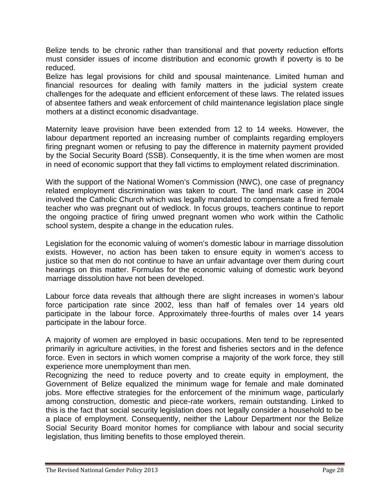Belize tends to be chronic rather than transitional and that poverty reduction efforts must consider issues of income distribution and economic growth if poverty is to be reduced.

Belize has legal provisions for child and spousal maintenance. Limited human and financial resources for dealing with family matters in the judicial system create challenges for the adequate and efficient enforcement of these laws. The related issues of absentee fathers and weak enforcement of child maintenance legislation place single mothers at a distinct economic disadvantage.

Maternity leave provision have been extended from 12 to 14 weeks. However, the labour department reported an increasing number of complaints regarding employers firing pregnant women or refusing to pay the difference in maternity payment provided by the Social Security Board (SSB). Consequently, it is the time when women are most in need of economic support that they fall victims to employment related discrimination.

With the support of the National Women's Commission (NWC), one case of pregnancy related employment discrimination was taken to court. The land mark case in 2004 involved the Catholic Church which was legally mandated to compensate a fired female teacher who was pregnant out of wedlock. In focus groups, teachers continue to report the ongoing practice of firing unwed pregnant women who work within the Catholic school system, despite a change in the education rules.

Legislation for the economic valuing of women's domestic labour in marriage dissolution exists. However, no action has been taken to ensure equity in women's access to justice so that men do not continue to have an unfair advantage over them during court hearings on this matter. Formulas for the economic valuing of domestic work beyond marriage dissolution have not been developed.

Labour force data reveals that although there are slight increases in women's labour force participation rate since 2002, less than half of females over 14 years old participate in the labour force. Approximately three-fourths of males over 14 years participate in the labour force.

A majority of women are employed in basic occupations. Men tend to be represented primarily in agriculture activities, in the forest and fisheries sectors and in the defence force. Even in sectors in which women comprise a majority of the work force, they still experience more unemployment than men.

Recognizing the need to reduce poverty and to create equity in employment, the Government of Belize equalized the minimum wage for female and male dominated jobs. More effective strategies for the enforcement of the minimum wage, particularly among construction, domestic and piece-rate workers, remain outstanding. Linked to this is the fact that social security legislation does not legally consider a household to be a place of employment. Consequently, neither the Labour Department nor the Belize Social Security Board monitor homes for compliance with labour and social security legislation, thus limiting benefits to those employed therein.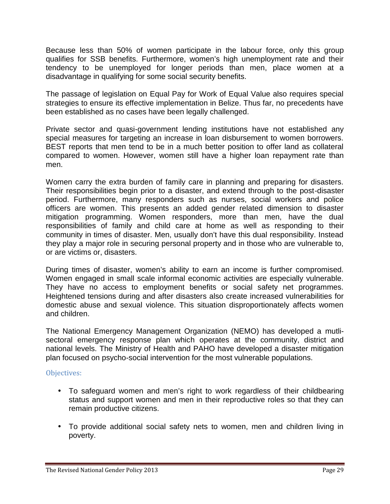Because less than 50% of women participate in the labour force, only this group qualifies for SSB benefits. Furthermore, women's high unemployment rate and their tendency to be unemployed for longer periods than men, place women at a disadvantage in qualifying for some social security benefits.

The passage of legislation on Equal Pay for Work of Equal Value also requires special strategies to ensure its effective implementation in Belize. Thus far, no precedents have been established as no cases have been legally challenged.

Private sector and quasi-government lending institutions have not established any special measures for targeting an increase in loan disbursement to women borrowers. BEST reports that men tend to be in a much better position to offer land as collateral compared to women. However, women still have a higher loan repayment rate than men.

Women carry the extra burden of family care in planning and preparing for disasters. Their responsibilities begin prior to a disaster, and extend through to the post-disaster period. Furthermore, many responders such as nurses, social workers and police officers are women. This presents an added gender related dimension to disaster mitigation programming. Women responders, more than men, have the dual responsibilities of family and child care at home as well as responding to their community in times of disaster. Men, usually don't have this dual responsibility. Instead they play a major role in securing personal property and in those who are vulnerable to, or are victims or, disasters.

During times of disaster, women's ability to earn an income is further compromised. Women engaged in small scale informal economic activities are especially vulnerable. They have no access to employment benefits or social safety net programmes. Heightened tensions during and after disasters also create increased vulnerabilities for domestic abuse and sexual violence. This situation disproportionately affects women and children.

The National Emergency Management Organization (NEMO) has developed a mutli sectoral emergency response plan which operates at the community, district and national levels. The Ministry of Health and PAHO have developed a disaster mitigation plan focused on psycho-social intervention for the most vulnerable populations.

# Objectives:

- To safeguard women and men's right to work regardless of their childbearing status and support women and men in their reproductive roles so that they can remain productive citizens.
- To provide additional social safety nets to women, men and children living in poverty.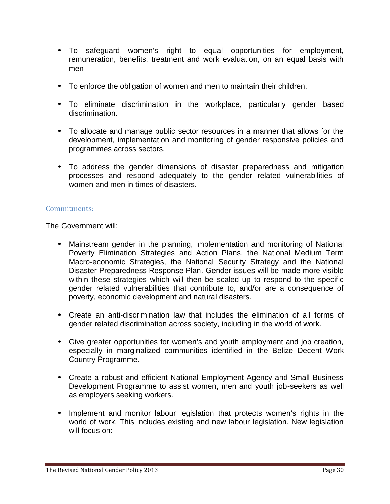- To safeguard women's right to equal opportunities for employment, remuneration, benefits, treatment and work evaluation, on an equal basis with men
- To enforce the obligation of women and men to maintain their children.
- To eliminate discrimination in the workplace, particularly gender based discrimination.
- To allocate and manage public sector resources in a manner that allows for the development, implementation and monitoring of gender responsive policies and programmes across sectors.
- To address the gender dimensions of disaster preparedness and mitigation processes and respond adequately to the gender related vulnerabilities of women and men in times of disasters.

#### Commitments:

The Government will:

- Mainstream gender in the planning, implementation and monitoring of National Poverty Elimination Strategies and Action Plans, the National Medium Term Macro-economic Strategies, the National Security Strategy and the National Disaster Preparedness Response Plan. Gender issues will be made more visible within these strategies which will then be scaled up to respond to the specific gender related vulnerabilities that contribute to, and/or are a consequence of poverty, economic development and natural disasters.
- Create an anti-discrimination law that includes the elimination of all forms of gender related discrimination across society, including in the world of work.
- Give greater opportunities for women's and youth employment and job creation, especially in marginalized communities identified in the Belize Decent Work Country Programme.
- Create a robust and efficient National Employment Agency and Small Business Development Programme to assist women, men and youth job-seekers as well as employers seeking workers.
- Implement and monitor labour legislation that protects women's rights in the world of work. This includes existing and new labour legislation. New legislation will focus on: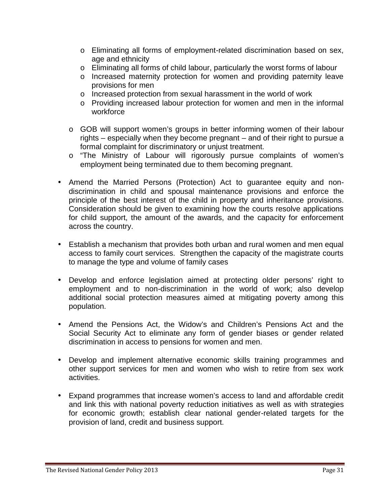- o Eliminating all forms of employment-related discrimination based on sex, age and ethnicity
- o Eliminating all forms of child labour, particularly the worst forms of labour
- o Increased maternity protection for women and providing paternity leave provisions for men
- o Increased protection from sexual harassment in the world of work
- o Providing increased labour protection for women and men in the informal workforce
- o GOB will support women's groups in better informing women of their labour rights – especially when they become pregnant – and of their right to pursue a formal complaint for discriminatory or unjust treatment.
- o "The Ministry of Labour will rigorously pursue complaints of women's employment being terminated due to them becoming pregnant.
- Amend the Married Persons (Protection) Act to guarantee equity and non discrimination in child and spousal maintenance provisions and enforce the principle of the best interest of the child in property and inheritance provisions. Consideration should be given to examining how the courts resolve applications for child support, the amount of the awards, and the capacity for enforcement across the country.
- Establish a mechanism that provides both urban and rural women and men equal access to family court services. Strengthen the capacity of the magistrate courts to manage the type and volume of family cases
- Develop and enforce legislation aimed at protecting older persons' right to employment and to non-discrimination in the world of work; also develop additional social protection measures aimed at mitigating poverty among this population.
- Amend the Pensions Act, the Widow's and Children's Pensions Act and the Social Security Act to eliminate any form of gender biases or gender related discrimination in access to pensions for women and men.
- Develop and implement alternative economic skills training programmes and other support services for men and women who wish to retire from sex work activities.
- Expand programmes that increase women's access to land and affordable credit and link this with national poverty reduction initiatives as well as with strategies for economic growth; establish clear national gender-related targets for the provision of land, credit and business support.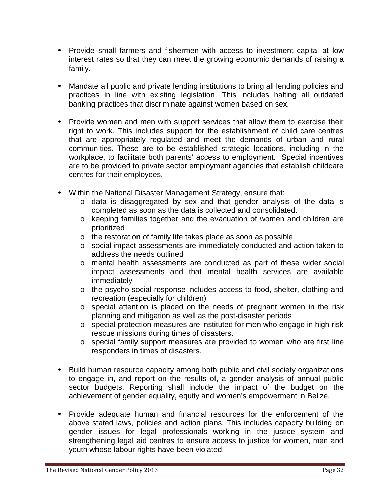- Provide small farmers and fishermen with access to investment capital at low interest rates so that they can meet the growing economic demands of raising a family.
- Mandate all public and private lending institutions to bring all lending policies and practices in line with existing legislation. This includes halting all outdated banking practices that discriminate against women based on sex.
- Provide women and men with support services that allow them to exercise their right to work. This includes support for the establishment of child care centres that are appropriately regulated and meet the demands of urban and rural communities. These are to be established strategic locations, including in the workplace, to facilitate both parents' access to employment. Special incentives are to be provided to private sector employment agencies that establish childcare centres for their employees.
- Within the National Disaster Management Strategy, ensure that:
	- o data is disaggregated by sex and that gender analysis of the data is completed as soon as the data is collected and consolidated.
	- o keeping families together and the evacuation of women and children are prioritized
	- o the restoration of family life takes place as soon as possible
	- o social impact assessments are immediately conducted and action taken to address the needs outlined
	- o mental health assessments are conducted as part of these wider social impact assessments and that mental health services are available immediately
	- o the psycho-social response includes access to food, shelter, clothing and recreation (especially for children)
	- o special attention is placed on the needs of pregnant women in the risk planning and mitigation as well as the post-disaster periods
	- o special protection measures are instituted for men who engage in high risk rescue missions during times of disasters.
	- o special family support measures are provided to women who are first line responders in times of disasters.
- Build human resource capacity among both public and civil society organizations to engage in, and report on the results of, a gender analysis of annual public sector budgets. Reporting shall include the impact of the budget on the achievement of gender equality, equity and women's empowerment in Belize.
- Provide adequate human and financial resources for the enforcement of the above stated laws, policies and action plans. This includes capacity building on gender issues for legal professionals working in the justice system and strengthening legal aid centres to ensure access to justice for women, men and youth whose labour rights have been violated.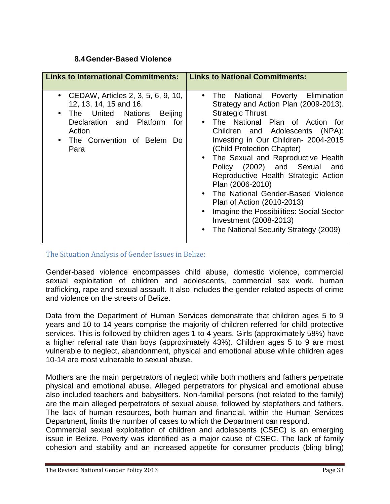# **8.4Gender-Based Violence**

| <b>Links to International Commitments:</b>                                                                                                                                                      | <b>Links to National Commitments:</b>                                                                                                                                                                                                                                                                                                                                                                                                                                                                                                                                                       |
|-------------------------------------------------------------------------------------------------------------------------------------------------------------------------------------------------|---------------------------------------------------------------------------------------------------------------------------------------------------------------------------------------------------------------------------------------------------------------------------------------------------------------------------------------------------------------------------------------------------------------------------------------------------------------------------------------------------------------------------------------------------------------------------------------------|
| CEDAW, Articles 2, 3, 5, 6, 9, 10,<br>12, 13, 14, 15 and 16.<br>• The United Nations<br>Beijing<br>Declaration and Platform<br>for<br>Action<br>The Convention of Belem Do<br>$\bullet$<br>Para | The National Poverty Elimination<br>$\bullet$<br>Strategy and Action Plan (2009-2013).<br><b>Strategic Thrust</b><br>• The National Plan of Action for<br>Children and Adolescents (NPA):<br>Investing in Our Children- 2004-2015<br>(Child Protection Chapter)<br>• The Sexual and Reproductive Health<br>Policy (2002) and Sexual<br>and<br>Reproductive Health Strategic Action<br>Plan (2006-2010)<br>• The National Gender-Based Violence<br>Plan of Action (2010-2013)<br>Imagine the Possibilities: Social Sector<br>Investment (2008-2013)<br>The National Security Strategy (2009) |

#### The Situation Analysis of Gender Issues in Belize:

Gender-based violence encompasses child abuse, domestic violence, commercial sexual exploitation of children and adolescents, commercial sex work, human trafficking, rape and sexual assault. It also includes the gender related aspects of crime and violence on the streets of Belize.

Data from the Department of Human Services demonstrate that children ages 5 to 9 years and 10 to 14 years comprise the majority of children referred for child protective services. This is followed by children ages 1 to 4 years. Girls (approximately 58%) have a higher referral rate than boys (approximately 43%). Children ages 5 to 9 are most vulnerable to neglect, abandonment, physical and emotional abuse while children ages 10-14 are most vulnerable to sexual abuse.

Mothers are the main perpetrators of neglect while both mothers and fathers perpetrate physical and emotional abuse. Alleged perpetrators for physical and emotional abuse also included teachers and babysitters. Non-familial persons (not related to the family) are the main alleged perpetrators of sexual abuse, followed by stepfathers and fathers. The lack of human resources, both human and financial, within the Human Services Department, limits the number of cases to which the Department can respond.

Commercial sexual exploitation of children and adolescents (CSEC) is an emerging issue in Belize. Poverty was identified as a major cause of CSEC. The lack of family cohesion and stability and an increased appetite for consumer products (bling bling)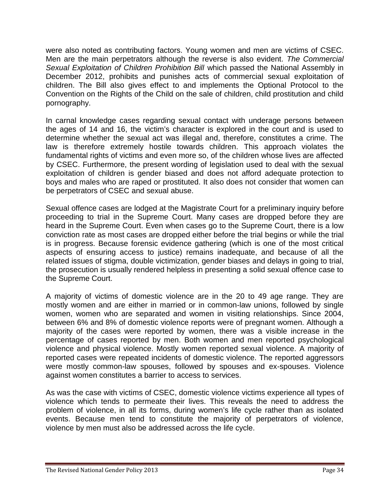were also noted as contributing factors. Young women and men are victims of CSEC. Men are the main perpetrators although the reverse is also evident. *The Commercial Sexual Exploitation of Children Prohibition Bill* which passed the National Assembly in December 2012, prohibits and punishes acts of commercial sexual exploitation of children. The Bill also gives effect to and implements the Optional Protocol to the Convention on the Rights of the Child on the sale of children, child prostitution and child pornography.

In carnal knowledge cases regarding sexual contact with underage persons between the ages of 14 and 16, the victim's character is explored in the court and is used to determine whether the sexual act was illegal and, therefore, constitutes a crime. The law is therefore extremely hostile towards children. This approach violates the fundamental rights of victims and even more so, of the children whose lives are affected by CSEC. Furthermore, the present wording of legislation used to deal with the sexual exploitation of children is gender biased and does not afford adequate protection to boys and males who are raped or prostituted. It also does not consider that women can be perpetrators of CSEC and sexual abuse.

Sexual offence cases are lodged at the Magistrate Court for a preliminary inquiry before proceeding to trial in the Supreme Court. Many cases are dropped before they are heard in the Supreme Court. Even when cases go to the Supreme Court, there is a low conviction rate as most cases are dropped either before the trial begins or while the trial is in progress. Because forensic evidence gathering (which is one of the most critical aspects of ensuring access to justice) remains inadequate, and because of all the related issues of stigma, double victimization, gender biases and delays in going to trial, the prosecution is usually rendered helpless in presenting a solid sexual offence case to the Supreme Court.

A majority of victims of domestic violence are in the 20 to 49 age range. They are mostly women and are either in married or in common-law unions, followed by single women, women who are separated and women in visiting relationships. Since 2004, between 6% and 8% of domestic violence reports were of pregnant women. Although a majority of the cases were reported by women, there was a visible increase in the percentage of cases reported by men. Both women and men reported psychological violence and physical violence. Mostly women reported sexual violence. A majority of reported cases were repeated incidents of domestic violence. The reported aggressors were mostly common-law spouses, followed by spouses and ex-spouses. Violence against women constitutes a barrier to access to services.

As was the case with victims of CSEC, domestic violence victims experience all types of violence which tends to permeate their lives. This reveals the need to address the problem of violence, in all its forms, during women's life cycle rather than as isolated events. Because men tend to constitute the majority of perpetrators of violence, violence by men must also be addressed across the life cycle.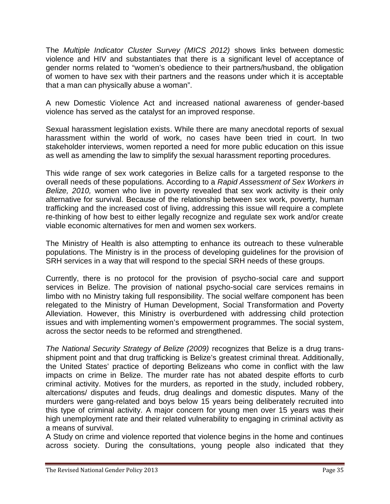The *Multiple Indicator Cluster Survey (MICS 2012)* shows links between domestic violence and HIV and substantiates that there is a significant level of acceptance of gender norms related to "women's obedience to their partners/husband, the obligation of women to have sex with their partners and the reasons under which it is acceptable that a man can physically abuse a woman".

A new Domestic Violence Act and increased national awareness of gender-based violence has served as the catalyst for an improved response.

Sexual harassment legislation exists. While there are many anecdotal reports of sexual harassment within the world of work, no cases have been tried in court. In two stakeholder interviews, women reported a need for more public education on this issue as well as amending the law to simplify the sexual harassment reporting procedures.

This wide range of sex work categories in Belize calls for a targeted response to the overall needs of these populations. According to a *Rapid Assessment of Sex Workers in Belize, 2010,* women who live in poverty revealed that sex work activity is their only alternative for survival. Because of the relationship between sex work, poverty, human trafficking and the increased cost of living, addressing this issue will require a complete re-thinking of how best to either legally recognize and regulate sex work and/or create viable economic alternatives for men and women sex workers.

The Ministry of Health is also attempting to enhance its outreach to these vulnerable populations. The Ministry is in the process of developing guidelines for the provision of SRH services in a way that will respond to the special SRH needs of these groups.

Currently, there is no protocol for the provision of psycho-social care and support services in Belize. The provision of national psycho-social care services remains in limbo with no Ministry taking full responsibility. The social welfare component has been relegated to the Ministry of Human Development, Social Transformation and Poverty Alleviation. However, this Ministry is overburdened with addressing child protection issues and with implementing women's empowerment programmes. The social system, across the sector needs to be reformed and strengthened.

*The National Security Strategy of Belize (2009)* recognizes that Belize is a drug trans shipment point and that drug trafficking is Belize's greatest criminal threat. Additionally, the United States' practice of deporting Belizeans who come in conflict with the law impacts on crime in Belize. The murder rate has not abated despite efforts to curb criminal activity. Motives for the murders, as reported in the study, included robbery, altercations/ disputes and feuds, drug dealings and domestic disputes. Many of the murders were gang-related and boys below 15 years being deliberately recruited into this type of criminal activity. A major concern for young men over 15 years was their high unemployment rate and their related vulnerability to engaging in criminal activity as a means of survival.

A Study on crime and violence reported that violence begins in the home and continues across society. During the consultations, young people also indicated that they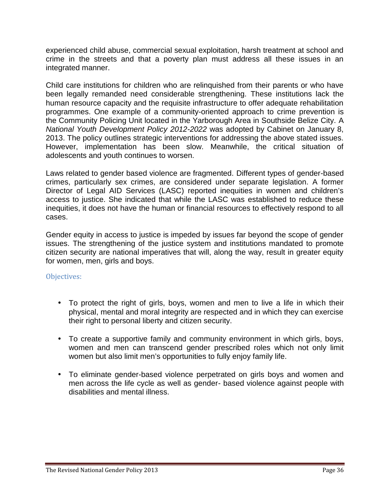experienced child abuse, commercial sexual exploitation, harsh treatment at school and crime in the streets and that a poverty plan must address all these issues in an integrated manner.

Child care institutions for children who are relinquished from their parents or who have been legally remanded need considerable strengthening. These institutions lack the human resource capacity and the requisite infrastructure to offer adequate rehabilitation programmes. One example of a community-oriented approach to crime prevention is the Community Policing Unit located in the Yarborough Area in Southside Belize City. A *National Youth Development Policy 2012-2022* was adopted by Cabinet on January 8, 2013. The policy outlines strategic interventions for addressing the above stated issues. However, implementation has been slow. Meanwhile, the critical situation of adolescents and youth continues to worsen.

Laws related to gender based violence are fragmented. Different types of gender-based crimes, particularly sex crimes, are considered under separate legislation. A former Director of Legal AID Services (LASC) reported inequities in women and children's access to justice. She indicated that while the LASC was established to reduce these inequities, it does not have the human or financial resources to effectively respond to all cases.

Gender equity in access to justice is impeded by issues far beyond the scope of gender issues. The strengthening of the justice system and institutions mandated to promote citizen security are national imperatives that will, along the way, result in greater equity for women, men, girls and boys.

#### Objectives:

- To protect the right of girls, boys, women and men to live a life in which their physical, mental and moral integrity are respected and in which they can exercise their right to personal liberty and citizen security.
- To create a supportive family and community environment in which girls, boys, women and men can transcend gender prescribed roles which not only limit women but also limit men's opportunities to fully enjoy family life.
- To eliminate gender-based violence perpetrated on girls boys and women and men across the life cycle as well as gender- based violence against people with disabilities and mental illness.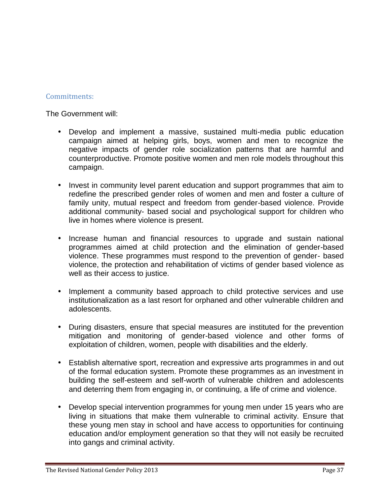#### Commitments:

The Government will:

- Develop and implement a massive, sustained multi-media public education campaign aimed at helping girls, boys, women and men to recognize the negative impacts of gender role socialization patterns that are harmful and counterproductive. Promote positive women and men role models throughout this campaign.
- Invest in community level parent education and support programmes that aim to redefine the prescribed gender roles of women and men and foster a culture of family unity, mutual respect and freedom from gender-based violence. Provide additional community- based social and psychological support for children who live in homes where violence is present.
- Increase human and financial resources to upgrade and sustain national programmes aimed at child protection and the elimination of gender-based violence. These programmes must respond to the prevention of gender- based violence, the protection and rehabilitation of victims of gender based violence as well as their access to justice.
- Implement a community based approach to child protective services and use institutionalization as a last resort for orphaned and other vulnerable children and adolescents.
- During disasters, ensure that special measures are instituted for the prevention mitigation and monitoring of gender-based violence and other forms of exploitation of children, women, people with disabilities and the elderly.
- Establish alternative sport, recreation and expressive arts programmes in and out of the formal education system. Promote these programmes as an investment in building the self-esteem and self-worth of vulnerable children and adolescents and deterring them from engaging in, or continuing, a life of crime and violence.
- Develop special intervention programmes for young men under 15 years who are living in situations that make them vulnerable to criminal activity. Ensure that these young men stay in school and have access to opportunities for continuing education and/or employment generation so that they will not easily be recruited into gangs and criminal activity.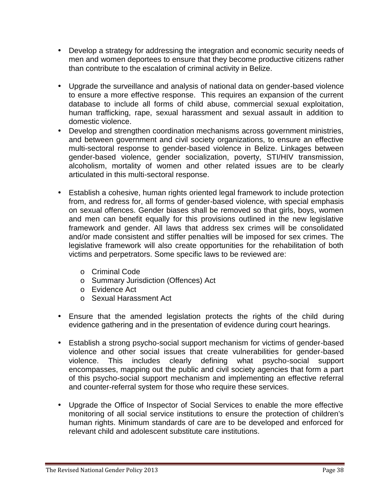- Develop a strategy for addressing the integration and economic security needs of men and women deportees to ensure that they become productive citizens rather than contribute to the escalation of criminal activity in Belize.
- Upgrade the surveillance and analysis of national data on gender-based violence to ensure a more effective response. This requires an expansion of the current database to include all forms of child abuse, commercial sexual exploitation, human trafficking, rape, sexual harassment and sexual assault in addition to domestic violence.
- Develop and strengthen coordination mechanisms across government ministries, and between government and civil society organizations, to ensure an effective multi-sectoral response to gender-based violence in Belize. Linkages between gender-based violence, gender socialization, poverty, STI/HIV transmission, alcoholism, mortality of women and other related issues are to be clearly articulated in this multi-sectoral response.
- Establish a cohesive, human rights oriented legal framework to include protection from, and redress for, all forms of gender-based violence, with special emphasis on sexual offences. Gender biases shall be removed so that girls, boys, women and men can benefit equally for this provisions outlined in the new legislative framework and gender. All laws that address sex crimes will be consolidated and/or made consistent and stiffer penalties will be imposed for sex crimes. The legislative framework will also create opportunities for the rehabilitation of both victims and perpetrators. Some specific laws to be reviewed are:
	- o Criminal Code
	- o Summary Jurisdiction (Offences) Act
	- o Evidence Act
	- o Sexual Harassment Act
- Ensure that the amended legislation protects the rights of the child during evidence gathering and in the presentation of evidence during court hearings.
- Establish a strong psycho-social support mechanism for victims of gender-based violence and other social issues that create vulnerabilities for gender-based violence. This includes clearly defining what psycho-social support encompasses, mapping out the public and civil society agencies that form a part of this psycho-social support mechanism and implementing an effective referral and counter-referral system for those who require these services.
- Upgrade the Office of Inspector of Social Services to enable the more effective monitoring of all social service institutions to ensure the protection of children's human rights. Minimum standards of care are to be developed and enforced for relevant child and adolescent substitute care institutions.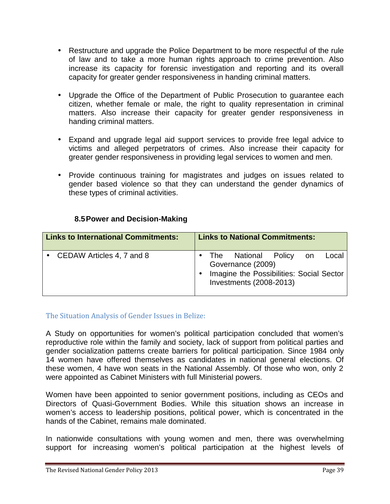- Restructure and upgrade the Police Department to be more respectful of the rule of law and to take a more human rights approach to crime prevention. Also increase its capacity for forensic investigation and reporting and its overall capacity for greater gender responsiveness in handing criminal matters.
- Upgrade the Office of the Department of Public Prosecution to guarantee each citizen, whether female or male, the right to quality representation in criminal matters. Also increase their capacity for greater gender responsiveness in handing criminal matters.
- Expand and upgrade legal aid support services to provide free legal advice to victims and alleged perpetrators of crimes. Also increase their capacity for greater gender responsiveness in providing legal services to women and men.
- Provide continuous training for magistrates and judges on issues related to gender based violence so that they can understand the gender dynamics of these types of criminal activities.

# **8.5Power and Decision-Making**

| <b>Links to International Commitments:</b> | <b>Links to National Commitments:</b>                                                                                          |
|--------------------------------------------|--------------------------------------------------------------------------------------------------------------------------------|
| CEDAW Articles 4, 7 and 8                  | The National Policy<br>Local<br>on<br>Governance (2009)<br>Imagine the Possibilities: Social Sector<br>Investments (2008-2013) |
|                                            |                                                                                                                                |

# The Situation Analysis of Gender Issues in Belize:

A Study on opportunities for women's political participation concluded that women's reproductive role within the family and society, lack of support from political parties and gender socialization patterns create barriers for political participation. Since 1984 only 14 women have offered themselves as candidates in national general elections. Of these women, 4 have won seats in the National Assembly. Of those who won, only 2 were appointed as Cabinet Ministers with full Ministerial powers.

Women have been appointed to senior government positions, including as CEOs and Directors of Quasi-Government Bodies. While this situation shows an increase in women's access to leadership positions, political power, which is concentrated in the hands of the Cabinet, remains male dominated.

In nationwide consultations with young women and men, there was overwhelming support for increasing women's political participation at the highest levels of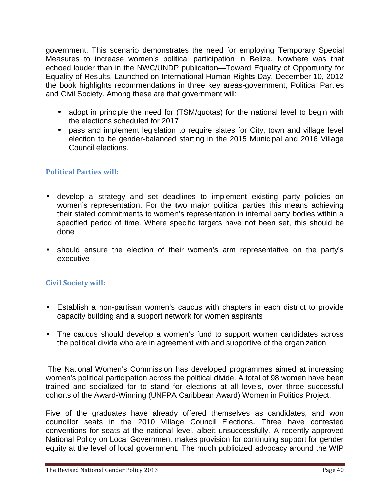government. This scenario demonstrates the need for employing Temporary Special Measures to increase women's political participation in Belize. Nowhere was that echoed louder than in the NWC/UNDP publication—Toward Equality of Opportunity for Equality of Results. Launched on International Human Rights Day, December 10, 2012 the book highlights recommendations in three key areas-government, Political Parties and Civil Society. Among these are that government will:

- adopt in principle the need for (TSM/quotas) for the national level to begin with the elections scheduled for 2017
- pass and implement legislation to require slates for City, town and village level election to be gender-balanced starting in the 2015 Municipal and 2016 Village Council elections.

# **Political Parties will:**

- develop a strategy and set deadlines to implement existing party policies on women's representation. For the two major political parties this means achieving their stated commitments to women's representation in internal party bodies within a specified period of time. Where specific targets have not been set, this should be done
- should ensure the election of their women's arm representative on the party's executive

# **Civil Society will:**

- Establish a non-partisan women's caucus with chapters in each district to provide capacity building and a support network for women aspirants
- The caucus should develop a women's fund to support women candidates across the political divide who are in agreement with and supportive of the organization

The National Women's Commission has developed programmes aimed at increasing women's political participation across the political divide. A total of 98 women have been trained and socialized for to stand for elections at all levels, over three successful cohorts of the Award-Winning (UNFPA Caribbean Award) Women in Politics Project.

Five of the graduates have already offered themselves as candidates, and won councillor seats in the 2010 Village Council Elections. Three have contested conventions for seats at the national level, albeit unsuccessfully. A recently approved National Policy on Local Government makes provision for continuing support for gender equity at the level of local government. The much publicized advocacy around the WIP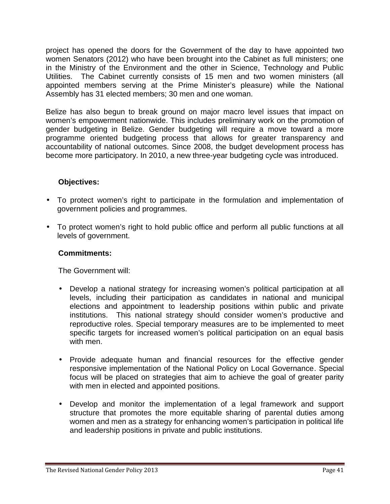project has opened the doors for the Government of the day to have appointed two women Senators (2012) who have been brought into the Cabinet as full ministers; one in the Ministry of the Environment and the other in Science, Technology and Public Utilities. The Cabinet currently consists of 15 men and two women ministers (all appointed members serving at the Prime Minister's pleasure) while the National Assembly has 31 elected members; 30 men and one woman.

Belize has also begun to break ground on major macro level issues that impact on women's empowerment nationwide. This includes preliminary work on the promotion of gender budgeting in Belize. Gender budgeting will require a move toward a more programme oriented budgeting process that allows for greater transparency and accountability of national outcomes. Since 2008, the budget development process has become more participatory. In 2010, a new three-year budgeting cycle was introduced.

# **Objectives:**

- To protect women's right to participate in the formulation and implementation of government policies and programmes.
- To protect women's right to hold public office and perform all public functions at all levels of government.

# **Commitments:**

The Government will:

- Develop a national strategy for increasing women's political participation at all levels, including their participation as candidates in national and municipal elections and appointment to leadership positions within public and private institutions. This national strategy should consider women's productive and reproductive roles. Special temporary measures are to be implemented to meet specific targets for increased women's political participation on an equal basis with men.
- Provide adequate human and financial resources for the effective gender responsive implementation of the National Policy on Local Governance. Special focus will be placed on strategies that aim to achieve the goal of greater parity with men in elected and appointed positions.
- Develop and monitor the implementation of a legal framework and support structure that promotes the more equitable sharing of parental duties among women and men as a strategy for enhancing women's participation in political life and leadership positions in private and public institutions.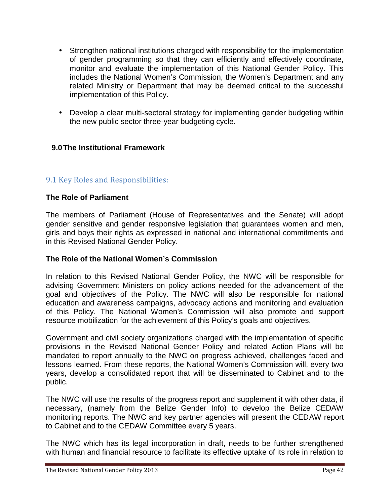- Strengthen national institutions charged with responsibility for the implementation of gender programming so that they can efficiently and effectively coordinate, monitor and evaluate the implementation of this National Gender Policy. This includes the National Women's Commission, the Women's Department and any related Ministry or Department that may be deemed critical to the successful implementation of this Policy.
- Develop a clear multi-sectoral strategy for implementing gender budgeting within the new public sector three-year budgeting cycle.

# **9.0The Institutional Framework**

# 9.1 Key Roles and Responsibilities:

#### **The Role of Parliament**

The members of Parliament (House of Representatives and the Senate) will adopt gender sensitive and gender responsive legislation that guarantees women and men, girls and boys their rights as expressed in national and international commitments and in this Revised National Gender Policy.

#### **The Role of the National Women's Commission**

In relation to this Revised National Gender Policy, the NWC will be responsible for advising Government Ministers on policy actions needed for the advancement of the goal and objectives of the Policy. The NWC will also be responsible for national education and awareness campaigns, advocacy actions and monitoring and evaluation of this Policy. The National Women's Commission will also promote and support resource mobilization for the achievement of this Policy's goals and objectives.

Government and civil society organizations charged with the implementation of specific provisions in the Revised National Gender Policy and related Action Plans will be mandated to report annually to the NWC on progress achieved, challenges faced and lessons learned. From these reports, the National Women's Commission will, every two years, develop a consolidated report that will be disseminated to Cabinet and to the public.

The NWC will use the results of the progress report and supplement it with other data, if necessary, (namely from the Belize Gender Info) to develop the Belize CEDAW monitoring reports. The NWC and key partner agencies will present the CEDAW report to Cabinet and to the CEDAW Committee every 5 years.

The NWC which has its legal incorporation in draft, needs to be further strengthened with human and financial resource to facilitate its effective uptake of its role in relation to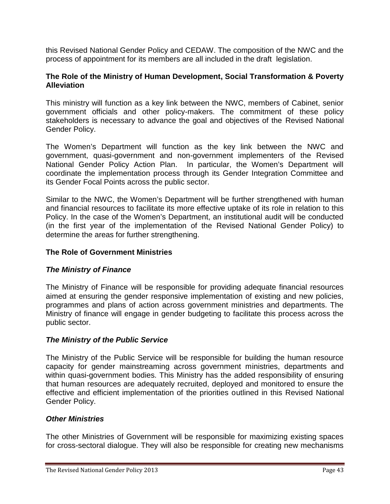this Revised National Gender Policy and CEDAW. The composition of the NWC and the process of appointment for its members are all included in the draft legislation.

#### **The Role of the Ministry of Human Development, Social Transformation & Poverty Alleviation**

This ministry will function as a key link between the NWC, members of Cabinet, senior government officials and other policy-makers. The commitment of these policy stakeholders is necessary to advance the goal and objectives of the Revised National Gender Policy.

The Women's Department will function as the key link between the NWC and government, quasi-government and non-government implementers of the Revised National Gender Policy Action Plan. In particular, the Women's Department will coordinate the implementation process through its Gender Integration Committee and its Gender Focal Points across the public sector.

Similar to the NWC, the Women's Department will be further strengthened with human and financial resources to facilitate its more effective uptake of its role in relation to this Policy. In the case of the Women's Department, an institutional audit will be conducted (in the first year of the implementation of the Revised National Gender Policy) to determine the areas for further strengthening.

# **The Role of Government Ministries**

#### *The Ministry of Finance*

The Ministry of Finance will be responsible for providing adequate financial resources aimed at ensuring the gender responsive implementation of existing and new policies, programmes and plans of action across government ministries and departments. The Ministry of finance will engage in gender budgeting to facilitate this process across the public sector.

#### *The Ministry of the Public Service*

The Ministry of the Public Service will be responsible for building the human resource capacity for gender mainstreaming across government ministries, departments and within quasi-government bodies. This Ministry has the added responsibility of ensuring that human resources are adequately recruited, deployed and monitored to ensure the effective and efficient implementation of the priorities outlined in this Revised National Gender Policy.

#### *Other Ministries*

The other Ministries of Government will be responsible for maximizing existing spaces for cross-sectoral dialogue. They will also be responsible for creating new mechanisms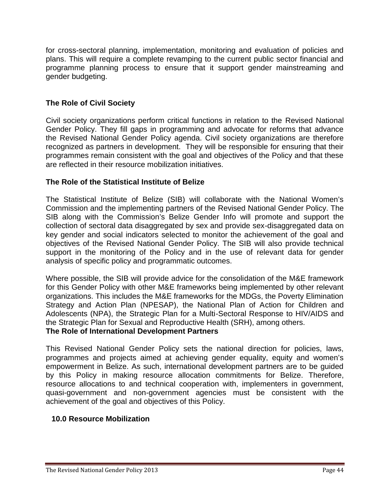for cross-sectoral planning, implementation, monitoring and evaluation of policies and plans. This will require a complete revamping to the current public sector financial and programme planning process to ensure that it support gender mainstreaming and gender budgeting.

# **The Role of Civil Society**

Civil society organizations perform critical functions in relation to the Revised National Gender Policy. They fill gaps in programming and advocate for reforms that advance the Revised National Gender Policy agenda. Civil society organizations are therefore recognized as partners in development. They will be responsible for ensuring that their programmes remain consistent with the goal and objectives of the Policy and that these are reflected in their resource mobilization initiatives.

# **The Role of the Statistical Institute of Belize**

The Statistical Institute of Belize (SIB) will collaborate with the National Women's Commission and the implementing partners of the Revised National Gender Policy. The SIB along with the Commission's Belize Gender Info will promote and support the collection of sectoral data disaggregated by sex and provide sex-disaggregated data on key gender and social indicators selected to monitor the achievement of the goal and objectives of the Revised National Gender Policy. The SIB will also provide technical support in the monitoring of the Policy and in the use of relevant data for gender analysis of specific policy and programmatic outcomes.

Where possible, the SIB will provide advice for the consolidation of the M&E framework for this Gender Policy with other M&E frameworks being implemented by other relevant organizations. This includes the M&E frameworks for the MDGs, the Poverty Elimination Strategy and Action Plan (NPESAP), the National Plan of Action for Children and Adolescents (NPA), the Strategic Plan for a Multi-Sectoral Response to HIV/AIDS and the Strategic Plan for Sexual and Reproductive Health (SRH), among others.

#### **The Role of International Development Partners**

This Revised National Gender Policy sets the national direction for policies, laws, programmes and projects aimed at achieving gender equality, equity and women's empowerment in Belize. As such, international development partners are to be guided by this Policy in making resource allocation commitments for Belize. Therefore, resource allocations to and technical cooperation with, implementers in government, quasi-government and non-government agencies must be consistent with the achievement of the goal and objectives of this Policy.

# **10.0 Resource Mobilization**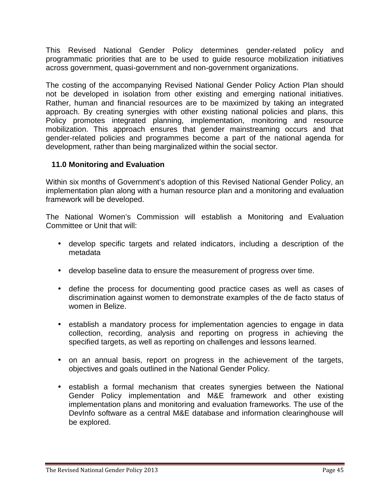This Revised National Gender Policy determines gender-related policy and programmatic priorities that are to be used to guide resource mobilization initiatives across government, quasi-government and non-government organizations.

The costing of the accompanying Revised National Gender Policy Action Plan should not be developed in isolation from other existing and emerging national initiatives. Rather, human and financial resources are to be maximized by taking an integrated approach. By creating synergies with other existing national policies and plans, this Policy promotes integrated planning, implementation, monitoring and resource mobilization. This approach ensures that gender mainstreaming occurs and that gender-related policies and programmes become a part of the national agenda for development, rather than being marginalized within the social sector.

# **11.0 Monitoring and Evaluation**

Within six months of Government's adoption of this Revised National Gender Policy, an implementation plan along with a human resource plan and a monitoring and evaluation framework will be developed.

The National Women's Commission will establish a Monitoring and Evaluation Committee or Unit that will:

- develop specific targets and related indicators, including a description of the metadata
- develop baseline data to ensure the measurement of progress over time.
- define the process for documenting good practice cases as well as cases of discrimination against women to demonstrate examples of the de facto status of women in Belize.
- establish a mandatory process for implementation agencies to engage in data collection, recording, analysis and reporting on progress in achieving the specified targets, as well as reporting on challenges and lessons learned.
- on an annual basis, report on progress in the achievement of the targets, objectives and goals outlined in the National Gender Policy.
- establish a formal mechanism that creates synergies between the National Gender Policy implementation and M&E framework and other existing implementation plans and monitoring and evaluation frameworks. The use of the DevInfo software as a central M&E database and information clearinghouse will be explored.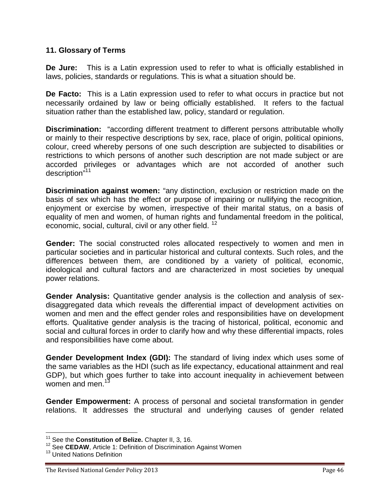#### **11. Glossary of Terms**

**De Jure:** This is a Latin expression used to refer to what is officially established in laws, policies, standards or regulations. This is what a situation should be.

**De Facto:** This is a Latin expression used to refer to what occurs in practice but not necessarily ordained by law or being officially established. It refers to the factual situation rather than the established law, policy, standard or regulation.

**Discrimination:** "according different treatment to different persons attributable wholly or mainly to their respective descriptions by sex, race, place of origin, political opinions, colour, creed whereby persons of one such description are subjected to disabilities or restrictions to which persons of another such description are not made subject or are accorded privileges or advantages which are not accorded of another such description"<sup>11</sup>

**Discrimination against women:** "any distinction, exclusion or restriction made on the basis of sex which has the effect or purpose of impairing or nullifying the recognition, enjoyment or exercise by women, irrespective of their marital status, on a basis of equality of men and women, of human rights and fundamental freedom in the political, economic, social, cultural, civil or any other field.<sup>12</sup>

**Gender:** The social constructed roles allocated respectively to women and men in particular societies and in particular historical and cultural contexts. Such roles, and the differences between them, are conditioned by a variety of political, economic, ideological and cultural factors and are characterized in most societies by unequal power relations.

**Gender Analysis:** Quantitative gender analysis is the collection and analysis of sex disaggregated data which reveals the differential impact of development activities on women and men and the effect gender roles and responsibilities have on development efforts. Qualitative gender analysis is the tracing of historical, political, economic and social and cultural forces in order to clarify how and why these differential impacts, roles and responsibilities have come about.

**Gender Development Index (GDI):** The standard of living index which uses some of the same variables as the HDI (such as life expectancy, educational attainment and real GDP), but which goes further to take into account inequality in achievement between women and men. $<sup>1</sup>$ </sup>

**Gender Empowerment:** A process of personal and societal transformation in gender relations. It addresses the structural and underlying causes of gender related

<sup>&</sup>lt;sup>11</sup> See the **Constitution of Belize.** Chapter II, 3, 16.<br><sup>12</sup> See **CEDAW**, Article 1: Definition of Discrimination Against Women

<sup>&</sup>lt;sup>13</sup> United Nations Definition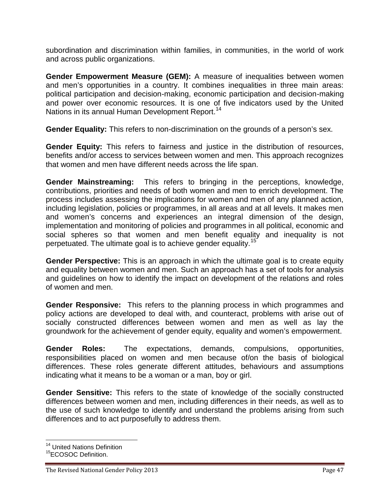subordination and discrimination within families, in communities, in the world of work and across public organizations.

**Gender Empowerment Measure (GEM):** A measure of inequalities between women and men's opportunities in a country. It combines inequalities in three main areas: political participation and decision-making, economic participation and decision-making and power over economic resources. It is one of five indicators used by the United Nations in its annual Human Development Report.<sup>14</sup>

**Gender Equality:** This refers to non-discrimination on the grounds of a person's sex.

**Gender Equity:** This refers to fairness and justice in the distribution of resources, benefits and/or access to services between women and men. This approach recognizes that women and men have different needs across the life span.

**Gender Mainstreaming:** This refers to bringing in the perceptions, knowledge, contributions, priorities and needs of both women and men to enrich development. The process includes assessing the implications for women and men of any planned action, including legislation, policies or programmes, in all areas and at all levels. It makes men and women's concerns and experiences an integral dimension of the design, implementation and monitoring of policies and programmes in all political, economic and social spheres so that women and men benefit equality and inequality is not perpetuated. The ultimate goal is to achieve gender equality.<sup>15</sup>

**Gender Perspective:** This is an approach in which the ultimate goal is to create equity and equality between women and men. Such an approach has a set of tools for analysis and guidelines on how to identify the impact on development of the relations and roles of women and men.

**Gender Responsive:** This refers to the planning process in which programmes and policy actions are developed to deal with, and counteract, problems with arise out of socially constructed differences between women and men as well as lay the groundwork for the achievement of gender equity, equality and women's empowerment.

**Gender Roles:** The expectations, demands, compulsions, opportunities, responsibilities placed on women and men because of/on the basis of biological differences. These roles generate different attitudes, behaviours and assumptions indicating what it means to be a woman or a man, boy or girl.

**Gender Sensitive:** This refers to the state of knowledge of the socially constructed differences between women and men, including differences in their needs, as well as to the use of such knowledge to identify and understand the problems arising from such differences and to act purposefully to address them.

<sup>&</sup>lt;sup>14</sup> United Nations Definition

<sup>&</sup>lt;sup>15</sup>ECOSOC Definition.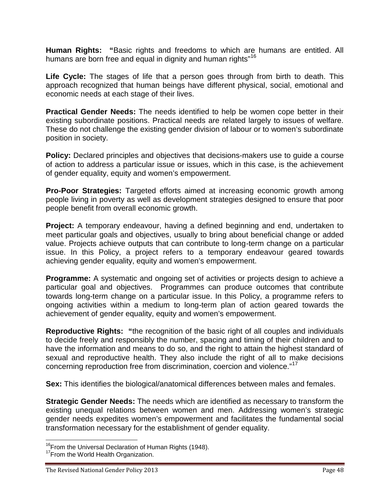**Human Rights: "**Basic rights and freedoms to which are humans are entitled. All humans are born free and equal in dignity and human rights"<sup>16</sup>

**Life Cycle:** The stages of life that a person goes through from birth to death. This approach recognized that human beings have different physical, social, emotional and economic needs at each stage of their lives.

**Practical Gender Needs:** The needs identified to help be women cope better in their existing subordinate positions. Practical needs are related largely to issues of welfare. These do not challenge the existing gender division of labour or to women's subordinate position in society.

**Policy:** Declared principles and objectives that decisions-makers use to guide a course of action to address a particular issue or issues, which in this case, is the achievement of gender equality, equity and women's empowerment.

**Pro-Poor Strategies:** Targeted efforts aimed at increasing economic growth among people living in poverty as well as development strategies designed to ensure that poor people benefit from overall economic growth.

**Project:** A temporary endeavour, having a defined beginning and end, undertaken to meet particular goals and objectives, usually to bring about beneficial change or added value. Projects achieve outputs that can contribute to long-term change on a particular issue. In this Policy, a project refers to a temporary endeavour geared towards achieving gender equality, equity and women's empowerment.

**Programme:** A systematic and ongoing set of activities or projects design to achieve a particular goal and objectives. Programmes can produce outcomes that contribute towards long-term change on a particular issue. In this Policy, a programme refers to ongoing activities within a medium to long-term plan of action geared towards the achievement of gender equality, equity and women's empowerment.

**Reproductive Rights: "**the recognition of the basic right of all couples and individuals to decide freely and responsibly the number, spacing and timing of their children and to have the information and means to do so, and the right to attain the highest standard of sexual and reproductive health. They also include the right of all to make decisions concerning reproduction free from discrimination, coercion and violence."<sup>17</sup>

**Sex:** This identifies the biological/anatomical differences between males and females.

**Strategic Gender Needs:** The needs which are identified as necessary to transform the existing unequal relations between women and men. Addressing women's strategic gender needs expedites women's empowerment and facilitates the fundamental social transformation necessary for the establishment of gender equality.

<sup>&</sup>lt;sup>16</sup>From the Universal Declaration of Human Rights (1948).<br><sup>17</sup>From the World Health Organization.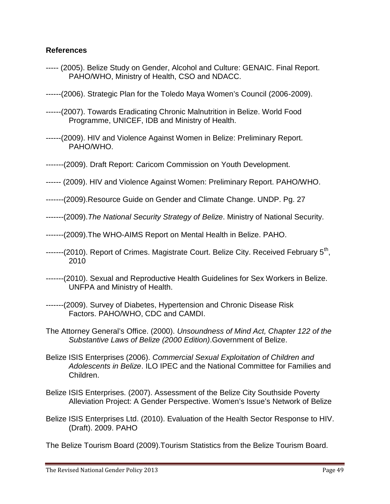#### **References**

- ----- (2005). Belize Study on Gender, Alcohol and Culture: GENAIC. Final Report. PAHO/WHO, Ministry of Health, CSO and NDACC.
- ------(2006). Strategic Plan for the Toledo Maya Women's Council (2006-2009).
- ------(2007). Towards Eradicating Chronic Malnutrition in Belize. World Food Programme, UNICEF, IDB and Ministry of Health.
- ------(2009). HIV and Violence Against Women in Belize: Preliminary Report. PAHO/WHO.
- -------(2009). Draft Report: Caricom Commission on Youth Development.
- ------ (2009). HIV and Violence Against Women: Preliminary Report. PAHO/WHO.
- -------(2009).Resource Guide on Gender and Climate Change. UNDP. Pg. 27
- -------(2009).*The National Security Strategy of Belize*. Ministry of National Security.
- -------(2009).The WHO-AIMS Report on Mental Health in Belize. PAHO.
- -------(2010). Report of Crimes. Magistrate Court. Belize City. Received February 5<sup>th</sup>, 2010
- -------(2010). Sexual and Reproductive Health Guidelines for Sex Workers in Belize. UNFPA and Ministry of Health.
- -------(2009). Survey of Diabetes, Hypertension and Chronic Disease Risk Factors. PAHO/WHO, CDC and CAMDI.
- The Attorney General's Office. (2000). *Unsoundness of Mind Act, Chapter 122 of the Substantive Laws of Belize (2000 Edition)*.Government of Belize.
- Belize ISIS Enterprises (2006). *Commercial Sexual Exploitation of Children and Adolescents in Belize*. ILO IPEC and the National Committee for Families and Children.
- Belize ISIS Enterprises. (2007). Assessment of the Belize City Southside Poverty Alleviation Project: A Gender Perspective. Women's Issue's Network of Belize
- Belize ISIS Enterprises Ltd. (2010). Evaluation of the Health Sector Response to HIV. (Draft). 2009. PAHO

The Belize Tourism Board (2009).Tourism Statistics from the Belize Tourism Board.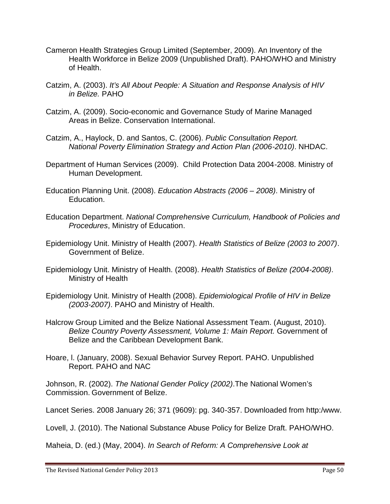- Cameron Health Strategies Group Limited (September, 2009). An Inventory of the Health Workforce in Belize 2009 (Unpublished Draft). PAHO/WHO and Ministry of Health.
- Catzim, A. (2003). *It's All About People: A Situation and Response Analysis of HIV in Belize.* PAHO
- Catzim, A. (2009). Socio-economic and Governance Study of Marine Managed Areas in Belize. Conservation International.
- Catzim, A., Haylock, D. and Santos, C. (2006). *Public Consultation Report. National Poverty Elimination Strategy and Action Plan (2006-2010)*. NHDAC.
- Department of Human Services (2009). Child Protection Data 2004-2008. Ministry of Human Development.
- Education Planning Unit. (2008). *Education Abstracts (2006 – 2008)*. Ministry of Education.
- Education Department. *National Comprehensive Curriculum, Handbook of Policies and Procedures*, Ministry of Education.
- Epidemiology Unit. Ministry of Health (2007). *Health Statistics of Belize (2003 to 2007)*. Government of Belize.
- Epidemiology Unit. Ministry of Health. (2008). *Health Statistics of Belize (2004-2008)*. Ministry of Health
- Epidemiology Unit. Ministry of Health (2008). *Epidemiological Profile of HIV in Belize (2003-2007)*. PAHO and Ministry of Health.
- Halcrow Group Limited and the Belize National Assessment Team. (August, 2010). *Belize Country Poverty Assessment, Volume 1: Main Report.* Government of Belize and the Caribbean Development Bank.
- Hoare, l. (January, 2008). Sexual Behavior Survey Report. PAHO. Unpublished Report. PAHO and NAC

Johnson, R. (2002). *The National Gender Policy (2002)*.The National Women's Commission. Government of Belize.

Lancet Series. 2008 January 26; 371 (9609): pg. 340-357. Downloaded from http:/www.

Lovell, J. (2010). The National Substance Abuse Policy for Belize Draft. PAHO/WHO.

Maheia, D. (ed.) (May, 2004). *In Search of Reform: A Comprehensive Look at*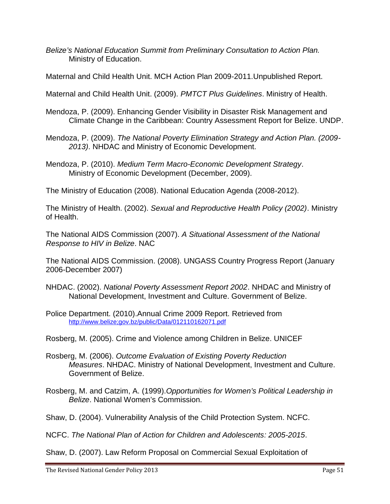*Belize's National Education Summit from Preliminary Consultation to Action Plan.* Ministry of Education.

Maternal and Child Health Unit. MCH Action Plan 2009-2011.Unpublished Report.

Maternal and Child Health Unit. (2009). *PMTCT Plus Guidelines*. Ministry of Health.

Mendoza, P. (2009). Enhancing Gender Visibility in Disaster Risk Management and Climate Change in the Caribbean: Country Assessment Report for Belize. UNDP.

Mendoza, P. (2009). *The National Poverty Elimination Strategy and Action Plan. (2009- 2013)*. NHDAC and Ministry of Economic Development.

Mendoza, P. (2010). *Medium Term Macro-Economic Development Strategy*. Ministry of Economic Development (December, 2009).

The Ministry of Education (2008). National Education Agenda (2008-2012).

The Ministry of Health. (2002). *Sexual and Reproductive Health Policy (2002)*. Ministry of Health.

The National AIDS Commission (2007). *A Situational Assessment of the National Response to HIV in Belize*. NAC

The National AIDS Commission. (2008). UNGASS Country Progress Report (January 2006-December 2007)

NHDAC. (2002). *National Poverty Assessment Report 2002*. NHDAC and Ministry of National Development, Investment and Culture. Government of Belize.

Police Department. (2010).Annual Crime 2009 Report. Retrieved from http://www.belize;gov.bz/public/Data/012110162071.pdf

Rosberg, M. (2005). Crime and Violence among Children in Belize. UNICEF

- Rosberg, M. (2006). *Outcome Evaluation of Existing Poverty Reduction Measures*. NHDAC. Ministry of National Development, Investment and Culture. Government of Belize.
- Rosberg, M. and Catzim, A. (1999).*Opportunities for Women's Political Leadership in Belize*. National Women's Commission.

Shaw, D. (2004). Vulnerability Analysis of the Child Protection System. NCFC.

NCFC. *The National Plan of Action for Children and Adolescents: 2005-2015*.

Shaw, D. (2007). Law Reform Proposal on Commercial Sexual Exploitation of